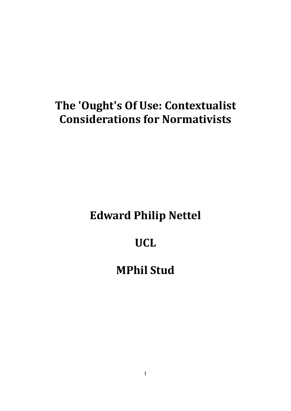# **The 'Ought's Of Use: Contextualist Considerations for Normativists**

# **Edward Philip Nettel**

# **UCL**

# **MPhil Stud**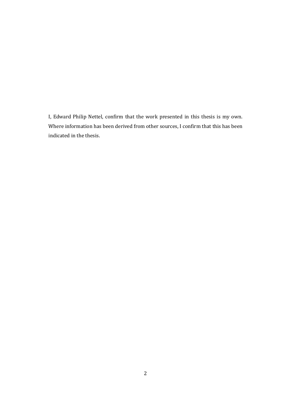I, Edward Philip Nettel, confirm that the work presented in this thesis is my own. Where information has been derived from other sources, I confirm that this has been indicated in the thesis.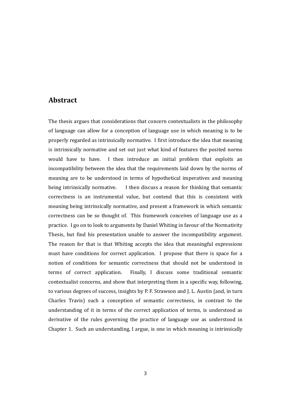#### **Abstract**

The thesis argues that considerations that concern contextualists in the philosophy of language can allow for a conception of language use in which meaning is to be properly regarded as intrinsically normative. I first introduce the idea that meaning is intrinsically normative and set out just what kind of features the posited norms would have to have. I then introduce an initial problem that exploits an incompatibility between the idea that the requirements laid down by the norms of meaning are to be understood in terms of hypothetical imperatives and meaning being intrinsically normative. I then discuss a reason for thinking that semantic correctness is an instrumental value, but contend that this is consistent with meaning being intrinsically normative, and present a framework in which semantic correctness can be so thought of. This framework conceives of language use as a practice. I go on to look to arguments by Daniel Whiting in favour of the Normativity Thesis, but find his presentation unable to answer the incompatibility argument. The reason for that is that Whiting accepts the idea that meaningful expressions must have conditions for correct application. I propose that there is space for a notion of conditions for semantic correctness that should not be understood in terms of correct application. Finally, I discuss some traditional semantic contextualist concerns, and show that interpreting them in a specific way, following, to various degrees of success, insights by P. F. Strawson and J. L. Austin (and, in turn Charles Travis) such a conception of semantic correctness, in contrast to the understanding of it in terms of the correct application of terms, is understood as derivative of the rules governing the practice of language use as understood in Chapter 1. Such an understanding, I argue, is one in which meaning is intrinsically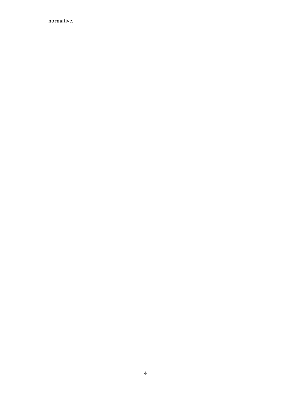normative.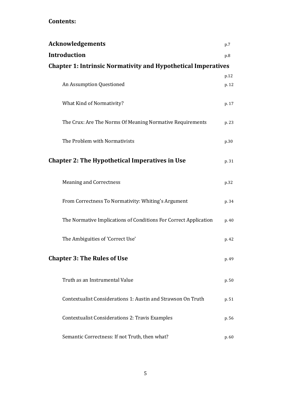### **Contents:**

| <b>Acknowledgements</b>                                              | p.7   |
|----------------------------------------------------------------------|-------|
| <b>Introduction</b>                                                  | p.8   |
| <b>Chapter 1: Intrinsic Normativity and Hypothetical Imperatives</b> |       |
|                                                                      | p.12  |
| An Assumption Questioned                                             | p. 12 |
| What Kind of Normativity?                                            | p. 17 |
| The Crux: Are The Norms Of Meaning Normative Requirements            | p. 23 |
| The Problem with Normativists                                        | p.30  |
| <b>Chapter 2: The Hypothetical Imperatives in Use</b>                | p. 31 |
| <b>Meaning and Correctness</b>                                       | p.32  |
| From Correctness To Normativity: Whiting's Argument                  | p. 34 |
| The Normative Implications of Conditions For Correct Application     | p. 40 |
| The Ambiguities of 'Correct Use'                                     | p. 42 |
| <b>Chapter 3: The Rules of Use</b>                                   | p. 49 |
| Truth as an Instrumental Value                                       | p. 50 |
| Contextualist Considerations 1: Austin and Strawson On Truth         | p. 51 |
| <b>Contextualist Considerations 2: Travis Examples</b>               | p. 56 |
| Semantic Correctness: If not Truth, then what?                       | p. 60 |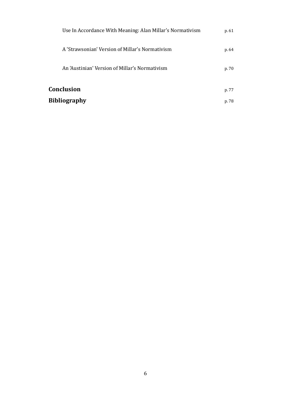| p. 61 |
|-------|
| p. 64 |
| p. 70 |
| p. 77 |
| p. 78 |
|       |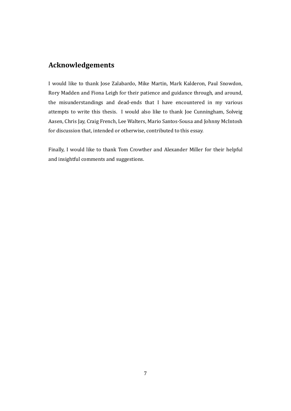### **Acknowledgements**

I would like to thank Jose Zalabardo, Mike Martin, Mark Kalderon, Paul Snowdon, Rory Madden and Fiona Leigh for their patience and guidance through, and around, the misunderstandings and dead-ends that I have encountered in my various attempts to write this thesis. I would also like to thank Joe Cunningham, Solveig Aasen, Chris Jay, Craig French, Lee Walters, Mario Santos-Sousa and Johnny McIntosh for discussion that, intended or otherwise, contributed to this essay.

Finally, I would like to thank Tom Crowther and Alexander Miller for their helpful and insightful comments and suggestions.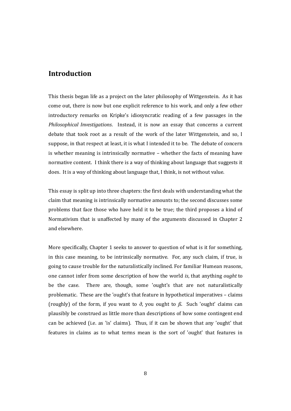### **Introduction**

This thesis began life as a project on the later philosophy of Wittgenstein. As it has come out, there is now but one explicit reference to his work, and only a few other introductory remarks on Kripke's idiosyncratic reading of a few passages in the *Philosophical Investigations*. Instead, it is now an essay that concerns a current debate that took root as a result of the work of the later Wittgenstein, and so, I suppose, in that respect at least, it is what I intended it to be. The debate of concern is whether meaning is intrinsically normative – whether the facts of meaning have normative content. I think there is a way of thinking about language that suggests it does. It is a way of thinking about language that, I think, is not without value.

This essay is split up into three chapters: the first deals with understanding what the claim that meaning is intrinsically normative amounts to; the second discusses some problems that face those who have held it to be true; the third proposes a kind of Normativism that is unaffected by many of the arguments discussed in Chapter 2 and elsewhere.

More specifically, Chapter 1 seeks to answer to question of what is it for something, in this case meaning, to be intrinsically normative. For, any such claim, if true, is going to cause trouble for the naturalistically inclined. For familiar Humean reasons, one cannot infer from some description of how the world *is*, that anything *ought* to be the case. There are, though, some 'ought's that are not naturalistically problematic. These are the 'ought's that feature in hypothetical imperatives – claims (roughly) of the form, if you want to *∂*, you ought to *ß*. Such 'ought' claims can plausibly be construed as little more than descriptions of how some contingent end can be achieved (i.e. as 'is' claims). Thus, if it can be shown that any 'ought' that features in claims as to what terms mean is the sort of 'ought' that features in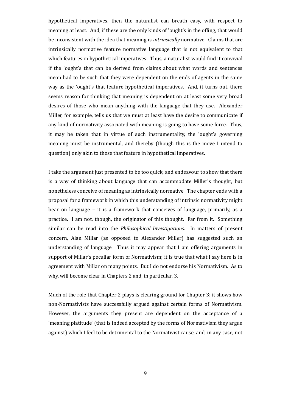hypothetical imperatives, then the naturalist can breath easy, with respect to meaning at least. And, if these are the only kinds of 'ought's in the offing, that would be inconsistent with the idea that meaning is *intrinsically* normative. Claims that are intrinsically normative feature normative language that is not equivalent to that which features in hypothetical imperatives. Thus, a naturalist would find it convivial if the 'ought's that can be derived from claims about what words and sentences mean had to be such that they were dependent on the ends of agents in the same way as the 'ought's that feature hypothetical imperatives. And, it turns out, there seems reason for thinking that meaning is dependent on at least some very broad desires of those who mean anything with the language that they use. Alexander Miller, for example, tells us that we must at least have the desire to communicate if any kind of normativity associated with meaning is going to have some force. Thus, it may be taken that in virtue of such instrumentality, the 'ought's governing meaning must be instrumental, and thereby (though this is the move I intend to question) only akin to those that feature in hypothetical imperatives.

I take the argument just presented to be too quick, and endeavour to show that there is a way of thinking about language that can accommodate Miller's thought, but nonetheless conceive of meaning as intrinsically normative. The chapter ends with a proposal for a framework in which this understanding of intrinsic normativity might bear on language – it is a framework that conceives of language, primarily, as a practice. I am not, though, the originator of this thought. Far from it. Something similar can be read into the *Philosophical Investigations*. In matters of present concern, Alan Millar (as opposed to Alexander Mill*e*r) has suggested such an understanding of language. Thus it may appear that I am offering arguments in support of Millar's peculiar form of Normativism; it is true that what I say here is in agreement with Millar on many points. But I do not endorse his Normativism. As to why, will become clear in Chapters 2 and, in particular, 3.

Much of the role that Chapter 2 plays is clearing ground for Chapter 3; it shows how non-Normativists have successfully argued against certain forms of Normativism. However, the arguments they present are dependent on the acceptance of a 'meaning platitude' (that is indeed accepted by the forms of Normativism they argue against) which I feel to be detrimental to the Normativist cause, and, in any case, not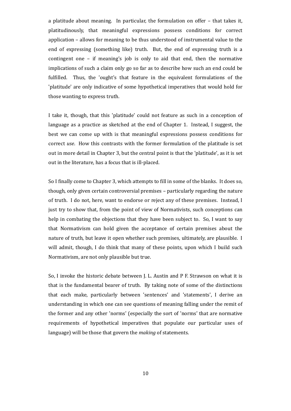a platitude about meaning. In particular, the formulation on offer – that takes it, platitudinously, that meaningful expressions possess conditions for correct application – allows for meaning to be thus understood of instrumental value to the end of expressing (something like) truth. But, the end of expressing truth is a contingent one – if meaning's job is only to aid that end, then the normative implications of such a claim only go so far as to describe how such an end could be fulfilled. Thus, the 'ought's that feature in the equivalent formulations of the 'platitude' are only indicative of some hypothetical imperatives that would hold for those wanting to express truth.

I take it, though, that this 'platitude' could not feature as such in a conception of language as a practice as sketched at the end of Chapter 1. Instead, I suggest, the best we can come up with is that meaningful expressions possess conditions for correct *use*. How this contrasts with the former formulation of the platitude is set out in more detail in Chapter 3, but the central point is that the 'platitude', as it is set out in the literature, has a focus that is ill-placed.

So I finally come to Chapter 3, which attempts to fill in some of the blanks. It does so, though, only given certain controversial premises – particularly regarding the nature of truth. I do not, here, want to endorse or reject any of these premises. Instead, I just try to show that, from the point of view of Normativists, such conceptions can help in combating the objections that they have been subject to. So, I want to say that Normativism can hold given the acceptance of certain premises about the nature of truth, but leave it open whether such premises, ultimately, are plausible. I will admit, though, I do think that many of these points, upon which I build such Normativism, are not only plausible but true.

So, I invoke the historic debate between J. L. Austin and P F. Strawson on what it is that is the fundamental bearer of truth. By taking note of some of the distinctions that each make, particularly between 'sentences' and 'statements', I derive an understanding in which one can see questions of meaning falling under the remit of the former and any other 'norms' (especially the sort of 'norms' that are normative requirements of hypothetical imperatives that populate our particular uses of language) will be those that govern the *making* of statements.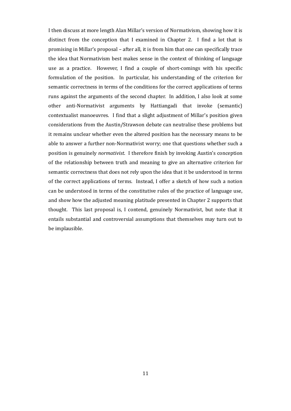I then discuss at more length Alan Millar's version of Normativism, showing how it is distinct from the conception that I examined in Chapter 2. I find a lot that is promising in Millar's proposal – after all, it is from him that one can specifically trace the idea that Normativism best makes sense in the context of thinking of language use as a practice. However, I find a couple of short-comings with his specific formulation of the position. In particular, his understanding of the criterion for semantic correctness in terms of the conditions for the correct applications of terms runs against the arguments of the second chapter. In addition, I also look at some other anti-Normativist arguments by Hattiangadi that invoke (semantic) contextualist manoeuvres. I find that a slight adjustment of Millar's position given considerations from the Austin/Strawson debate can neutralise these problems but it remains unclear whether even the altered position has the necessary means to be able to answer a further non-Normativist worry; one that questions whether such a position is genuinely *normativist*. I therefore finish by invoking Austin's conception of the relationship between truth and meaning to give an alternative criterion for semantic correctness that does not rely upon the idea that it be understood in terms of the correct applications of terms. Instead, I offer a sketch of how such a notion can be understood in terms of the constitutive rules of the practice of language use, and show how the adjusted meaning platitude presented in Chapter 2 supports that thought. This last proposal is, I contend, genuinely Normativist, but note that it entails substantial and controversial assumptions that themselves may turn out to be implausible.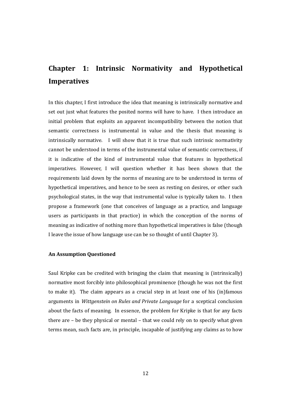## **Chapter 1: Intrinsic Normativity and Hypothetical Imperatives**

In this chapter, I first introduce the idea that meaning is intrinsically normative and set out just what features the posited norms will have to have. I then introduce an initial problem that exploits an apparent incompatibility between the notion that semantic correctness is instrumental in value and the thesis that meaning is intrinsically normative. I will show that it is true that such intrinsic normativity cannot be understood in terms of the instrumental value of semantic correctness, if it is indicative of the kind of instrumental value that features in hypothetical imperatives. However, I will question whether it has been shown that the requirements laid down by the norms of meaning are to be understood in terms of hypothetical imperatives, and hence to be seen as resting on desires, or other such psychological states, in the way that instrumental value is typically taken to. I then propose a framework (one that conceives of language as a practice, and language users as participants in that practice) in which the conception of the norms of meaning as indicative of nothing more than hypothetical imperatives is false (though I leave the issue of how language use can be so thought of until Chapter 3).

#### **An Assumption Questioned**

Saul Kripke can be credited with bringing the claim that meaning is (intrinsically) normative most forcibly into philosophical prominence (though he was not the first to make it). The claim appears as a crucial step in at least one of his (in)famous arguments in *Wittgenstein on Rules and Private Language* for a sceptical conclusion about the facts of meaning. In essence, the problem for Kripke is that for any facts there are – be they physical or mental – that we could rely on to specify what given terms mean, such facts are, in principle, incapable of justifying any claims as to how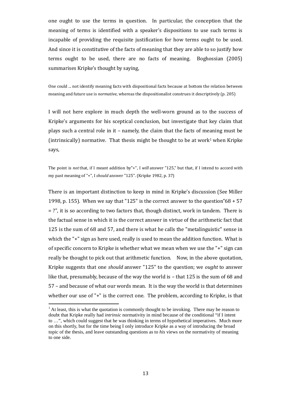one ought to use the terms in question. In particular, the conception that the meaning of terms is identified with a speaker's dispositions to use such terms is incapable of providing the requisite justification for how terms ought to be used. And since it is constitutive of the facts of meaning that they are able to so justify how terms ought to be used, there are no facts of meaning. Boghossian (2005) summarises Kripke's thought by saying,

One could ... not identify meaning facts with dispositional facts because at bottom the relation between meaning and future use is *normative*, whereas the dispositionalist construes it descriptively (p. 205)

I will not here explore in much depth the well-worn ground as to the success of Kripke's arguments forhissce[ptical conclusion, but investigate that key claim that](#page-12-0) plays such a central role in it – namely, the claim that the facts of meaning must be (intrinsically)normative. That thesis might be thought to be at work<sup>1</sup> when Kripke says,

The point is *not* that, if I meant addition by"+", I *will* answer "125," but that, if I intend to accord with my past meaning of "+", I *should* answer "125". (Kripke 1982, p. 37)

There is an important distinction to keep in mind in Kripke's discussion (See Miller 1998, p. 155). When we say that "125" is the correct answer to the question " $68 + 57$ = ?", it is so according to two factors that, though distinct, work in tandem. There is the factual sense in which it is the correct answer in virtue of the arithmetic fact that 125 is the sum of 68 and 57, and there is what he calls the "metalinguistic" sense in which the "+" sign as here used, really is used to mean the addition function. What is of specific concern to Kripke is whether what we mean when we use the "+" sign can really be thought to pick out that arithmetic function. Now, in the above quotation, Kripke suggests that one *should* answer "125" to the question; we *ought* to answer like that, presumably, because of the way the world is – that 125 is the sum of 68 and 57 – and because of what our words mean. It is the way the world is that determines whether our use of "+" is the correct one. The problem, according to Kripke, is that

<span id="page-12-0"></span> $<sup>1</sup>$  At least, this is what the quotation is commonly thought to be invoking. There may be reason to</sup> doubt that Kripke really had *intrinsic* normativity in mind because of the conditional "if I intent to …", which could suggest that he was thinking in terms of hypothetical imperatives. Much more on this shortly, but for the time being I only introduce Kripke as a way of introducing the broad topic of the thesis, and leave outstanding questions as to *his* views on the normativity of meaning to one side.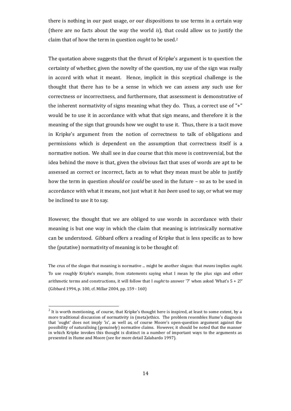there is nothing in our past usage, or our dispositions to use terms in a certain way (there are no facts about the way the world *is*), that could allow us to justify the claim that of how the term in question *ought* tobeused[.](#page-13-0)<sup>2</sup>

The quotation above suggests that the thrust of Kripke's argument is to question the certainty of whether, given the novelty of the question, my use of the sign was really in accord with what it meant. Hence, implicit in this sceptical challenge is the thought that there has to be a sense in which we can assess any such use for correctness or incorrectness, and furthermore, that assessment is demonstrative of the inherent normativity of signs meaning what they do. Thus, a correct use of "+" would be to use it in accordance with what that sign means, and therefore it is the meaning of the sign that grounds how we ought to use it. Thus, there is a tacit move in Kripke's argument from the notion of correctness to talk of obligations and permissions which is dependent on the assumption that correctness itself is a normative notion. We shall see in due course that this move is controversial, but the idea behind the move is that, given the obvious fact that uses of words are apt to be assessed as correct or incorrect, facts as to what they mean must be able to justify how the term in question *should* or *could* be used in the future – so as to be used in accordance with what it means, not just what it *has been* used to say, or what we may be inclined to use it to say.

However, the thought that we are obliged to use words in accordance with their meaning is but one way in which the claim that meaning is intrinsically normative can be understood. Gibbard offers a reading of Kripke that is less specific as to how the (putative) normativity of meaning is to be thought of:

The crux of the slogan that meaning is normative ... might be another slogan: that *means* implies *ought*. To use roughly Kripke's example, from statements saying what I mean by the plus sign and other arithmetic terms and constructions, it will follow that I *ought* to answer '7' when asked 'What's 5 + 2?' (Gibbard 1994, p. 100, cf. Millar 2004, pp. 159 - 160)

<span id="page-13-0"></span> $^2$  It is worth mentioning, of course, that Kripke's thought here is inspired, at least to some extent, by a more traditional discussion of normativity in (meta)ethics. The problem resembles Hume's diagnosis that 'ought' does not imply 'is', as well as, of course Moore's open-question argument against the possibility of naturalising (genuinely) normative claims. However, it should be noted that the manner in which Kripke invokes this thought is distinct in a number of important ways to the arguments as presented in Hume and Moore (see for more detail Zalabardo 1997).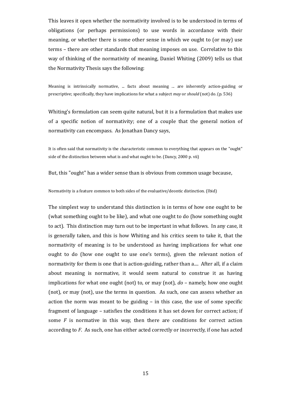This leaves it open whether the normativity involved is to be understood in terms of obligations (or perhaps permissions) to use words in accordance with their meaning, or whether there is some other sense in which we ought to (or may) use terms – there are other standards that meaning imposes on use. Correlative to this way of thinking of the normativity of meaning, Daniel Whiting (2009) tells us that the Normativity Thesis says the following:

Meaning is intrinsically normative, ... facts about meaning ... are inherently action-guiding or prescriptive; specifically, they have implications for what a subject *may* or *should* (not) do. (p. 536)

Whiting's formulation can seem quite natural, but it is a formulation that makes use of a specific notion of normativity; one of a couple that the general notion of normativity can encompass. As Jonathan Dancy says,

It is often said that normativity is the characteristic common to everything that appears on the "ought" side of the distinction between what is and what ought to be. (Dancy, 2000 p. vii)

But, this "ought" has a wider sense than is obvious from common usage because,

Normativity is a feature common to both sides of the evaluative/deontic distinction. (Ibid)

The simplest way to understand this distinction is in terms of how one ought to be (what something ought to be like), and what one ought to do (how something ought to act). This distinction may turn out to be important in what follows. In any case, it is generally taken, and this is how Whiting and his critics seem to take it, that the normativity of meaning is to be understood as having implications for what one ought to do (how one ought to use one's terms), given the relevant notion of normativity for them is one that is action-guiding, rather than a.... After all, if a claim about meaning is normative, it would seem natural to construe it as having implications for what one ought (not) to, or may (not), *do* – namely, how one ought (not), or may (not), use the terms in question. As such, one can assess whether an action the norm was meant to be guiding – in this case, the use of some specific fragment of language – satisfies the conditions it has set down for correct action; if some *F* is normative in this way, then there are conditions for correct action according to *F*. As such, one has either acted correctly or incorrectly, if one has acted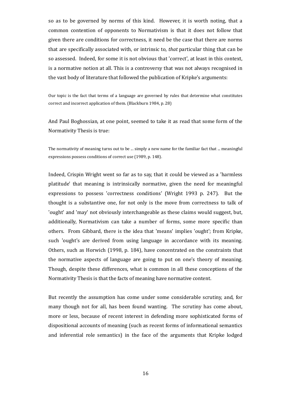so as to be governed by norms of this kind. However, it is worth noting, that a common contention of opponents to Normativism is that it does not follow that given there are conditions for correctness, it need be the case that there are norms that are specifically associated with, or intrinsic to, *that* particular thing that can be so assessed. Indeed, for some it is not obvious that 'correct', at least in this context, is a normative notion at all. This is a controversy that was not always recognised in the vast body of literature that followed the publication of Kripke's arguments:

Our topic is the fact that terms of a language are governed by rules that determine what constitutes correct and incorrect application of them. (Blackburn 1984, p. 28)

And Paul Boghossian, at one point, seemed to take it as read that some form of the Normativity Thesis is true:

The normativity of meaning turns out to be ... simply a new name for the familiar fact that ... meaningful expressions possess conditions of correct use (1989, p. 148).

Indeed, Crispin Wright went so far as to say, that it could be viewed as a 'harmless platitude' that meaning is intrinsically normative, given the need for meaningful expressions to possess 'correctness conditions' (Wright 1993 p. 247). But the thought is a substantive one, for not only is the move from correctness to talk of 'ought' and 'may' not obviously interchangeable as these claims would suggest, but, additionally, Normativism can take a number of forms, some more specific than others. From Gibbard, there is the idea that 'means' implies 'ought'; from Kripke, such 'ought's are derived from using language in accordance with its meaning. Others, such as Horwich (1998, p. 184), have concentrated on the constraints that the normative aspects of language are going to put on one's theory of meaning. Though, despite these differences, what is common in all these conceptions of the Normativity Thesis is that the facts of meaning have normative content.

But recently the assumption has come under some considerable scrutiny, and, for many though not for all, has been found wanting. The scrutiny has come about, more or less, because of recent interest in defending more sophisticated forms of dispositional accounts of meaning (such as recent forms of informational semantics and inferential role semantics) in the face of the arguments that Kripke lodged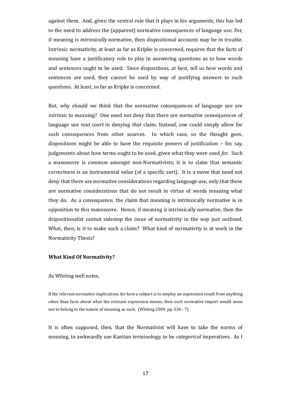against them. And, given the central role that it plays in his arguments, this has led to the need to address the (apparent) normative consequences of language use. For, if meaning is *intrinsically* normative, then dispositional accounts may be in trouble. Intrinsic normativity, at least as far as Kripke is concerned, requires that the facts of meaning have a justificatory role to play in answering questions as to how words and sentences ought to be used. Since dispositions, at best, tell us how words and sentences *are* used, they cannot be used by way of justifying answers to such questions. At least, so far as Kripke is concerned.

But, why should we think that the normative consequences of language use are *intrinsic* to meaning? One need not deny that there are normative consequences of language use *tout court* in denying *that* claim. Instead, one could simply allow for such consequences from other sources. In which case, so the thought goes, dispositions might be able to have the requisite powers of justification – for, say, judgements about how terms ought to be used, given what they were used *for*. Such a manoeuvre is common amongst non-Normativists; it is to claim that semantic correctness is an instrumental value (of a specific sort). It is a move that need not deny that there are normative considerations regarding language use, only that these are normative considerations that do not result in virtue of words meaning what they do. As a consequence, the claim that meaning is intrinsically normative is in opposition to this manoeuvre. Hence, if meaning *is* intrinsically normative, then the dispositionalist cannot sidestep the issue of normativity in the way just outlined. What, then, is it to make such a claim? What kind of normativity is at work in the Normativity Thesis?

#### **What Kind Of Normativity?**

#### As Whiting well notes,

If the relevant normative implications for how a subject is to employ an expression result from anything other than facts about what the relevant expression means, then such normative import would seem not to belong to the nature of meaning as such. (Whiting 2009, pp. 536 - 7)

It is often supposed, then, that the Normativist will have to take the norms of meaning, to awkwardly use Kantian terminology, to be *categorical* imperatives. As I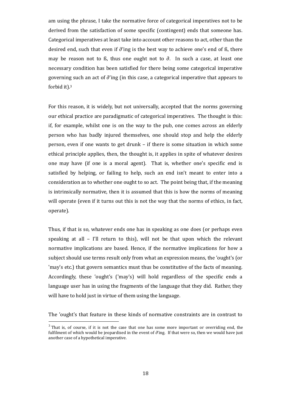am using the phrase, I take the normative force of categorical imperatives not to be derived from the satisfaction of some specific (contingent) ends that someone has. Categorical imperatives at least take into account other reasons to act, other than the desired end, such that even if  $\partial$ 'ing is the best way to achieve one's end of ß, there may be reason not to ß, thus one ought not to  $\partial$ . In such a case, at least one [necessary condition has been satisfied for there being some categorical imperative](#page-17-0) governing such an act of  $\partial$ 'ing (in this case, a categorical imperative that appears to forbidit).<sup>3</sup>

For this reason, it is widely, but not universally, accepted that the norms governing our ethical practice are paradigmatic of categorical imperatives. The thought is this: if, for example, whilst one is on the way to the pub, one comes across an elderly person who has badly injured themselves, one should stop and help the elderly person, even if one wants to get drunk – if there is some situation in which some ethical principle applies, then, the thought is, it applies in spite of whatever desires one may have (if one is a moral agent). That is, whether one's specific end is satisfied by helping, or failing to help, such an end isn't meant to enter into a consideration as to whether one ought to so act. The point being that, if the meaning is intrinsically normative, then it is assumed that this is how the norms of meaning will operate (even if it turns out this is not the way that the norms of ethics, in fact, operate).

Thus, if that is so, whatever ends one has in speaking as one does (or perhaps even speaking at all – I'll return to this), will not be that upon which the relevant normative implications are based. Hence, if the normative implications for how a subject should use terms result only from what an expression means, the 'ought's (or 'may's etc.) that govern semantics must thus be constitutive of the facts of meaning. Accordingly, these 'ought's ('may's) will hold regardless of the specific ends a language user has in using the fragments of the language that they did. Rather, they will have to hold just in virtue of them using the language.

The 'ought's that feature in these kinds of normative constraints are in contrast to

<span id="page-17-0"></span> $3$  That is, of course, if it is not the case that one has some more important or overriding end, the fulfilment of which would be jeopardised in the event of *∂*'ing. If that were so, then we would have just another case of a hypothetical imperative.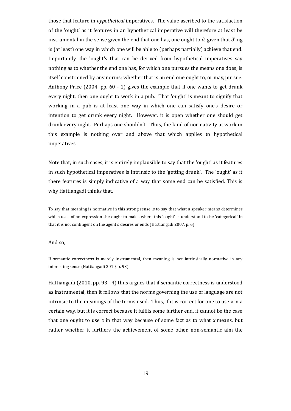those that feature in *hypothetical* imperatives. The value ascribed to the satisfaction of the 'ought' as it features in an hypothetical imperative will therefore at least be instrumental in the sense given the end that one has, one ought to *∂,* given that *∂*'ing is (at least) one way in which one will be able to (perhaps partially) achieve that end. Importantly, the 'ought's that can be derived from hypothetical imperatives say nothing as to whether the end one has, for which one pursues the means one does, is itself constrained by any norms; whether that is an end one ought to, or may, pursue. Anthony Price (2004, pp. 60 - 1) gives the example that if one wants to get drunk every night, then one ought to work in a pub. That 'ought' is meant to signify that working in a pub is at least one way in which one can satisfy one's desire or intention to get drunk every night. However, it is open whether one should get drunk every night. Perhaps one shouldn't. Thus, the kind of normativity at work in this example is nothing over and above that which applies to hypothetical imperatives.

Note that, in such cases, it is entirely implausible to say that the 'ought' as it features in such hypothetical imperatives is intrinsic to the 'getting drunk'. The 'ought' as it there features is simply indicative of a way that some end can be satisfied. This is why Hattiangadi thinks that,

To say that meaning is normative in this strong sense is to say that what a speaker means determines which uses of an expression she ought to make, where this 'ought' is understood to be 'categorical' in that it is not contingent on the agent's desires or ends (Hattiangadi 2007, p. 6)

#### And so,

If semantic correctness is merely instrumental, then meaning is not intrinsically normative in any interesting sense (Hattiangadi 2010, p. 93).

Hattiangadi (2010, pp. 93 - 4) thus argues that if semantic correctness is understood as instrumental, then it follows that the norms governing the use of language are not intrinsic to the meanings of the terms used. Thus, if it is correct for one to use *x* in a certain way, but it is correct because it fulfils some further end, it cannot be the case that one ought to use *x* in that way because of some fact as to what *x* means, but rather whether it furthers the achievement of some other, non-semantic aim the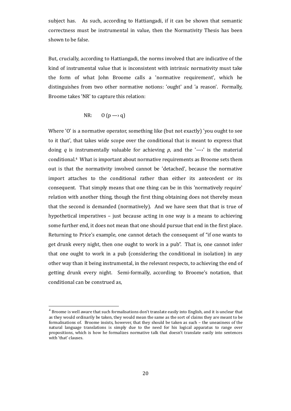subject has. As such, according to Hattiangadi, if it can be shown that semantic correctness must be instrumental in value, then the Normativity Thesis has been shown to be false.

But, crucially, according to Hattiangadi, the norms involved that are indicative of the kind of instrumental value that is inconsistent with intrinsic normativity must take the form of what John Broome calls a 'normative requirement', which he distinguishes from two other normative notions: 'ought' and 'a reason'. Formally, Broome takes 'NR' to capture this relation:

$$
NR: \qquad 0 \ (p \longrightarrow q)
$$

Where 'O' is a normative operator, something like (but not exactly) 'you ought to see to it that', that takes wide scope over the conditional that is meant to express that doing *q* is instrumentally valuable for achieving *p*, and the ' $\rightarrow$ ' is the material conditional.[4](#page-19-0) What is important about normative requirements as Broome sets them out is that the normativity involved cannot be 'detached', because the normative import attaches to the conditional rather than either its antecedent or its consequent. That simply means that one thing can be in this 'normatively require' relation with another thing, though the first thing obtaining does not thereby mean that the second is demanded (normatively). And we have seen that that is true of hypothetical imperatives – just because acting in one way is a means to achieving some further end, it does not mean that one should pursue that end in the first place. Returning to Price's example, one cannot detach the consequent of "if one wants to get drunk every night, then one ought to work in a pub". That is, one cannot infer that one ought to work in a pub (considering the conditional in isolation) in any other way than it being instrumental, in the relevant respects, to achieving the end of getting drunk every night. Semi-formally, according to Broome's notation, that conditional can be construed as,

<span id="page-19-0"></span> $^4$  Broome is well aware that such formalisations don't translate easily into English, and it is unclear that as they would ordinarily be taken, they would mean the same as the sort of claims they are meant to be formalisations of. Broome insists, however, that they should be taken as such – the uneasiness of the natural language translations is simply due to the need for his logical apparatus to range over propositions, which is how he formalizes normative talk that doesn't translate easily into sentences with 'that' clauses.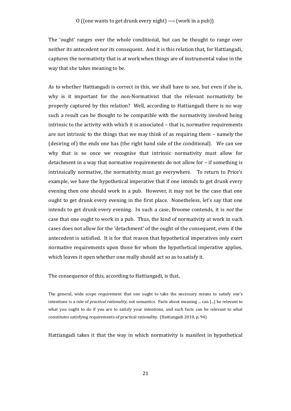The 'ought' ranges over the whole conditional, but can be thought to range over neither its antecedent nor its consequent. And it is this relation that, for Hattiangadi, captures the normativity that is at work when things are of instrumental value in the way that she takes meaning to be.

As to whether Hattiangadi is correct in this, we shall have to see, but even if she is, why is it important for the non-Normativist that the relevant normativity be properly captured by this relation? Well, according to Hattiangadi there is no way such a result can be thought to be compatible with the normativity involved being intrinsic to the activity with which it is associated – that is, normative requirements are not intrinsic to the things that we may think of as requiring them – namely the (desiring of) the ends one has (the right hand side of the conditional). We can see why that is so once we recognise that intrinsic normativity must allow for detachment in a way that normative requirements do not allow for – if something is intrinsically normative, the normativity must go everywhere. To return to Price's example, we have the hypothetical imperative that if one intends to get drunk every evening then one should work in a pub. However, it may not be the case that one ought to get drunk every evening in the first place. Nonetheless, let's say that one intends to get drunk every evening. In such a case, Broome contends, it is *not* the case that one ought to work in a pub. Thus, the kind of normativity at work in such cases does not allow for the 'detachment' of the ought of the consequent, even if the antecedent is satisfied. It is for that reason that hypothetical imperatives only exert normative requirements upon those for whom the hypothetical imperative applies, which leaves it open whether one really should act so as to satisfy it.

The consequence of this, according to Hattiangadi, is that,

The general, wide scope requirement that one ought to take the necessary means to satisfy one's intentions is a rule of *practical rationality*, not semantics. Facts about meaning ... can [...] be relevant to what you ought to do if you are to satisfy your intentions, and such facts can be relevant to what constitutes satisfying requirements of practical rationality. (Hattiangadi 2010, p. 94)

Hattiangadi takes it that the way in which normativity is manifest in hypothetical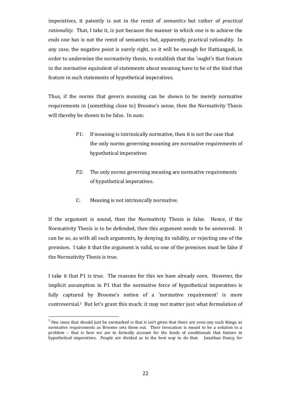imperatives, it patently is not in the remit of *semantics* but rather of *practical rationality*. That, I take it, is just because the manner in which one is to achieve the ends one has is not the remit of semantics but, apparently, practical rationality. In any case, the negative point is surely right, so it will be enough for Hattiangadi, in order to undermine the normativity thesis, to establish that the 'ought's that feature in the normative equivalent of statements about meaning have to be of the kind that feature in such statements of hypothetical imperatives.

Thus, if the norms that govern meaning can be shown to be merely normative requirements in (something close to) Broome's sense, then the Normativity Thesis will thereby be shown to be false. In sum:

- P1: If meaning is intrinsically normative, then it is not the case that the only norms governing meaning are normative requirements of hypothetical imperatives
- P2: The only norms governing meaning are normative requirements of hypothetical imperatives.
- C: Meaning is not intrinsically normative.

If the argument is sound, then the Normativity Thesis is false. Hence, if the Normativity Thesis is to be defended, then this argument needs to be answered. It can be so, as with all such arguments, by denying its validity, or rejecting one of the premises. I take it that the argument is valid, so one of the premises must be false if the Normativity Thesis is true.

I take it that P1 is true. The reasons for this we have already seen. However, the implicit assumption in P1 that the normative force of hypothetical imperatives is fully captured by Broome's notion of a 'normative requirement' is more controversial.[5](#page-21-0) But let's grant this much: it may not matter just what formulation of

<span id="page-21-0"></span> $<sup>5</sup>$  One issue that should just be earmarked is that it isn't given that there are even any such things as</sup> normative requirements as Broome sets them out. Their invocation is meant to be a solution to a problem – that is how we are to formally account for the kinds of conditionals that feature in hypothetical imperatives. People are divided as to the best way to do that. Jonathan Dancy, for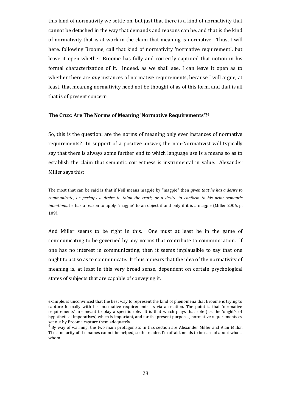this kind of normativity we settle on, but just that there is a kind of normativity that cannot be detached in the way that demands and reasons can be, and that is the kind of normativity that is at work in the claim that meaning is normative. Thus, I will here, following Broome, call that kind of normativity 'normative requirement', but leave it open whether Broome has fully and correctly captured that notion in his formal characterization of it. Indeed, as we shall see, I can leave it open as to whether there are *any* instances of normative requirements, because I will argue, at least, that meaning normativity need not be thought of as of this form, and that is all that is of present concern.

#### **The Crux: Are The Norms of Meaning 'Normative Requirements'?[6](#page-22-0)**

So, this is the question: are the norms of meaning only ever instances of normative requirements? In support of a positive answer, the non-Normativist will typically say that there is always some further end to which language use is a means so as to establish the claim that semantic correctness is instrumental in value. Alexander Miller says this:

The most that can be said is that if Neil means magpie by "magpie" then *given that he has a desire to communicate, or perhaps a desire to think the truth, or a desire to conform to his prior semantic intentions,* he has a reason to apply "magpie" to an object if and only if it is a magpie (Miller 2006, p. 109).

And Miller seems to be right in this. One must at least be in the game of communicating to be governed by any norms that contribute to communication. If one has no interest in communicating, then it seems implausible to say that one ought to act so as to communicate. It thus appears that the idea of the normativity of meaning is, at least in this very broad sense, dependent on certain psychological states of subjects that are capable of conveying it.

example, is unconvinced that the best way to represent the kind of phenomena that Broome is trying to capture formally with his 'normative requirements' is via a relation. The point is that 'normative requirements' are meant to play a specific role. It is that which plays that role (i.e. the 'ought's of hypothetical imperatives) which is important, and for the present purposes, normative requirements as set out by Broome capture them adequately.

<span id="page-22-0"></span><sup>6</sup> By way of warning, the two main protagonists in this section are Alexander Mill*e*r and Alan Mill*a*r. The similarity of the names cannot be helped, so the reader, I'm afraid, needs to be careful about who is whom.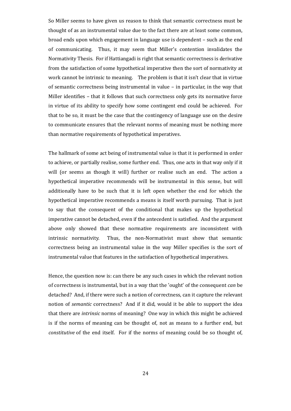So Miller seems to have given us reason to think that semantic correctness must be thought of as an instrumental value due to the fact there are at least some common, broad ends upon which engagement in language use is dependent – such as the end of communicating. Thus, it may seem that Miller's contention invalidates the Normativity Thesis. For if Hattiangadi is right that semantic correctness is derivative from the satisfaction of some hypothetical imperative then the sort of normativity at work cannot be intrinsic to meaning. The problem is that it isn't clear that in virtue of semantic correctness being instrumental in value – in particular, in the way that Miller identifies – that it follows that such correctness only gets its normative force in virtue of its ability to specify how some contingent end could be achieved. For that to be so, it must be the case that the contingency of language use on the desire to communicate ensures that the relevant norms of meaning must be nothing more than normative requirements of hypothetical imperatives.

The hallmark of some act being of instrumental value is that it is performed in order to achieve, or partially realise, some further end. Thus, one acts in that way only if it will (or seems as though it will) further or realise such an end. The action a hypothetical imperative recommends will be instrumental in this sense, but will additionally have to be such that it is left open whether the end for which the hypothetical imperative recommends a means is itself worth pursuing. That is just to say that the consequent of the conditional that makes up the hypothetical imperative cannot be detached, even if the antecedent is satisfied. And the argument above only showed that these normative requirements are inconsistent with intrinsic normativity. Thus, the non-Normativist must show that semantic correctness being an instrumental value in the way Miller specifies is the sort of instrumental value that features in the satisfaction of hypothetical imperatives.

Hence, the question now is: can there be any such cases in which the relevant notion of correctness is instrumental, but in a way that the 'ought' of the consequent *can* be detached? And, if there were such a notion of correctness, can it capture the relevant notion of *semantic* correctness? And if it did, would it be able to support the idea that there are *intrinsic* norms of meaning? One way in which this might be achieved is if the norms of meaning can be thought of, not as means to a further end, but *constitutive* of the end itself. For if the norms of meaning could be so thought of,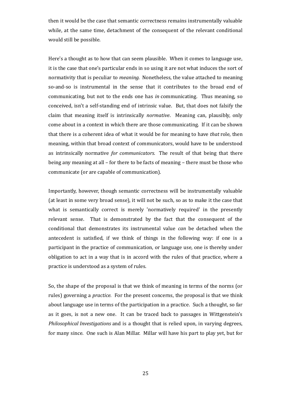then it would be the case that semantic correctness remains instrumentally valuable while, at the same time, detachment of the consequent of the relevant conditional would still be possible.

Here's a thought as to how that can seem plausible. When it comes to language use, it is the case that one's particular ends in so using it are not what induces the sort of normativity that is peculiar to *meaning.* Nonetheless, the value attached to meaning so-and-so is instrumental in the sense that it contributes to the broad end of communicating, but not to the ends one has *in* communicating. Thus meaning, so conceived, isn't a self-standing end of intrinsic value. But, that does not falsify the claim that meaning itself is intrinsically *normative*. Meaning can, plausibly, only come about in a context in which there are those communicating. If it can be shown that there is a coherent idea of what it would be for meaning to have *that* role, then meaning, within that broad context of communicators, would have to be understood as intrinsically normative *for communicators.* The result of that being that there being any meaning at all – for there to be facts of meaning – there must be those who communicate (or are capable of communication).

Importantly, however, though semantic correctness will be instrumentally valuable (at least in some very broad sense), it will not be such, so as to make it the case that what is semantically correct is merely 'normatively required' in the presently relevant sense. That is demonstrated by the fact that the consequent of the conditional that demonstrates its instrumental value *can* be detached when the antecedent is satisfied, if we think of things in the following way: if one is a participant in the practice of communication, or language use, one is thereby under obligation to act in a way that is in accord with the rules of that practice, where a practice is understood as a system of rules.

So, the shape of the proposal is that we think of meaning in terms of the norms (or rules) governing a *practice.* For the present concerns, the proposal is that we think about language use in terms of the participation in a practice. Such a thought, so far as it goes, is not a new one. It can be traced back to passages in Wittgenstein's *Philosophical Investigations* and is a thought that is relied upon, in varying degrees, for many since. One such is Alan Millar. Millar will have his part to play yet, but for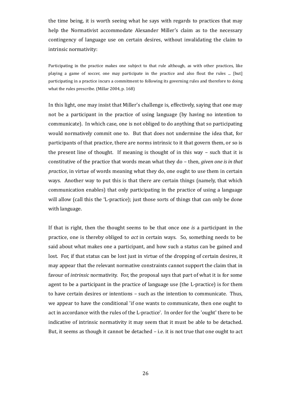the time being, it is worth seeing what he says with regards to practices that may help the Normativist accommodate Alexander Miller's claim as to the necessary contingency of language use on certain desires, without invalidating the claim to intrinsic normativity:

Participating in the practice makes one subject to that rule although, as with other practices, like playing a game of soccer, one may participate in the practice and also flout the rules ... [but] participating in a practice incurs a commitment to following its governing rules and therefore to doing what the rules prescribe. (Millar 2004, p. 168)

In this light, one may insist that Miller's challenge is, effectively, saying that one may not be a participant in the practice of using language (by having no intention to communicate). In which case, one is not obliged to do anything that so participating would normatively commit one to. But that does not undermine the idea that, for participants of that practice, there are norms intrinsic to it that govern them, or so is the present line of thought. If meaning is thought of in this way – such that it is constitutive of the practice that words mean what they do – then, *given one is in that practice*, in virtue of words meaning what they do, one ought to use them in certain ways. Another way to put this is that there are certain things (namely, that which communication enables) that only participating in the practice of using a language will allow (call this the 'L-practice); just those sorts of things that can only be done with language.

If that is right, then the thought seems to be that once one *is* a participant in the practice, one is thereby obliged to *act* in certain ways. So, something needs to be said about what makes one a participant, and how such a status can be gained and lost. For, if that status can be lost just in virtue of the dropping of certain desires, it may appear that the relevant normative constraints cannot support the claim that in favour of *intrinsic* normativity. For, the proposal says that part of what it is for some agent to be a participant in the practice of language use (the L-practice) is for them to have certain desires or intentions – such as the intention to communicate. Thus, we appear to have the conditional 'if one wants to communicate, then one ought to act in accordance with the rules of the L-practice'. In order for the 'ought' there to be indicative of intrinsic normativity it may seem that it must be able to be detached. But, it seems as though it cannot be detached – i.e. it is not true that one ought to act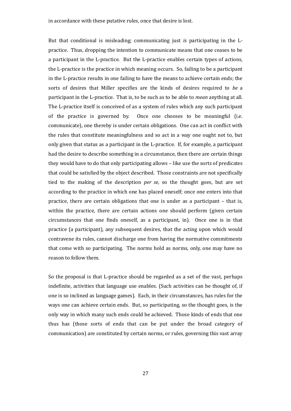But that conditional is misleading; communicating just *is* participating in the Lpractice. Thus, dropping the intention to communicate means that one ceases to be a participant in the L-practice. But the L-practice enables certain types of actions, the L-practice is the practice in which meaning occurs. So, failing to be a participant in the L-practice results in one failing to have the means to achieve certain ends; the sorts of desires that Miller specifies are the kinds of desires required to *be* a participant in the L-practice. That is, to be such as to be able to *mean* anything at all. The L-practice itself is conceived of as a system of rules which any such participant of the practice is governed by. Once one chooses to be meaningful (i.e. communicate), one thereby is under certain obligations. One can act in conflict with the rules that constitute meaningfulness and so act in a way one ought not to, but only given that status as a participant in the L-practice. If, for example, a participant had the desire to describe something in a circumstance, then there are certain things they would have to do that only participating allows – like use the sorts of predicates that could be satisfied by the object described. Those constraints are not specifically tied to the making of the description *per se*, so the thought goes, but are set according to the practice in which one has placed oneself; once one enters into that practice, there are certain obligations that one is under as a participant – that is, within the practice, there are certain actions one should perform (given certain circumstances that one finds oneself, as a participant, in). Once one is in that practice (a participant), any subsequent desires, that the acting upon which would contravene its rules, cannot discharge one from having the normative commitments that come with so participating. The norms hold as norms, only, one may have no reason to follow them.

So the proposal is that L-practice should be regarded as a set of the vast, perhaps indefinite, activities that language use enables. (Such activities can be thought of, if one is so inclined as language games). Each, in their circumstances, has rules for the ways one can achieve certain ends. But, so participating, so the thought goes, is the only way in which many such ends could be achieved. Those kinds of ends that one thus has (those sorts of ends that can be put under the broad category of communication) are constituted by certain norms, or rules, governing this vast array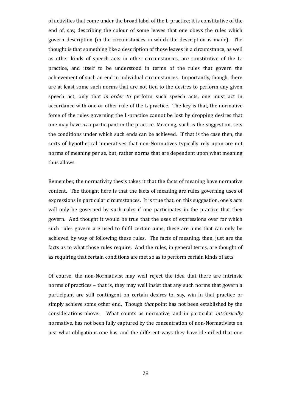of activities that come under the broad label of the L-practice; it is constitutive of the end of, say, describing the colour of some leaves that one obeys the rules which govern description (in the circumstances in which the description is made). The thought is that something like a description of those leaves in a circumstance, as well as other kinds of speech acts in other circumstances, are constitutive of the Lpractice, and itself to be understood in terms of the rules that govern the achievement of such an end in individual circumstances. Importantly, though, there are at least some such norms that are not tied to the desires to perform any given speech act, only that *in order to* perform such speech acts, one must act in accordance with one or other rule of the L-practice. The key is that, the normative force of the rules governing the L-practice cannot be lost by dropping desires that one may have *as* a participant in the practice. Meaning, such is the suggestion, sets the conditions under which such ends can be achieved. If that is the case then, the sorts of hypothetical imperatives that non-Normatives typically rely upon are not norms of meaning per se, but, rather norms that are dependent upon what meaning thus allows.

Remember, the normativity thesis takes it that the facts of meaning have normative content. The thought here is that the facts of meaning are rules governing uses of expressions in particular circumstances. It is true that, on this suggestion, one's acts will only be governed by such rules if one participates in the practice that they govern. And thought it would be true that the uses of expressions over for which such rules govern are used to fulfil certain aims, these are aims that can only be achieved by way of following these rules. The facts of meaning, then, just are the facts as to what those rules require. And the rules, in general terms, are thought of as requiring that certain conditions are met so as to perform certain kinds of acts.

Of course, the non-Normativist may well reject the idea that there are intrinsic norms of practices – that is, they may well insist that any such norms that govern a participant are still contingent on certain desires to, say, win in that practice or simply achieve some other end. Though *that* point has not been established by the considerations above. What counts as normative, and in particular *intrinsically* normative, has not been fully captured by the concentration of non-Normativists on just what obligations one has, and the different ways they have identified that one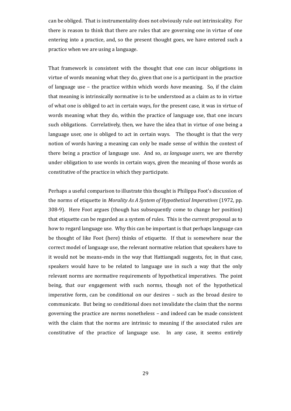can be obliged. That is instrumentality does not obviously rule out intrinsicality. For there is reason to think that there are rules that are governing one in virtue of one entering into a practice, and, so the present thought goes, we have entered such a practice when we are using a language.

That framework is consistent with the thought that one can incur obligations in virtue of words meaning what they do, given that one is a participant in the practice of language use – the practice within which words *have* meaning. So, if the claim that meaning is intrinsically normative is to be understood as a claim as to in virtue of what one is obliged to act in certain ways, for the present case, it was in virtue of words meaning what they do, within the practice of language use, that one incurs such obligations. Correlatively, then, we have the idea that in virtue of one being a language user, one is obliged to act in certain ways. The thought is that the very notion of words having a meaning can only be made sense of within the context of there being a practice of language use. And so, *as language users*, we are thereby under obligation to use words in certain ways, given the meaning of those words as constitutive of the practice in which they participate.

Perhaps a useful comparison to illustrate this thought is Philippa Foot's discussion of the norms of etiquette in *Morality As A System of Hypothetical Imperatives* (1972, pp. 308-9). Here Foot argues (though has subsequently come to change her position) that etiquette can be regarded as a system of rules. This is the current proposal as to how to regard language use. Why this can be important is that perhaps language can be thought of like Foot (here) thinks of etiquette. If that is somewhere near the correct model of language use, the relevant normative relation that speakers have to it would not be means-ends in the way that Hattiangadi suggests, for, in that case, speakers would have to be related to language use in such a way that the only relevant norms are normative requirements of hypothetical imperatives. The point being, that our engagement with such norms, though not of the hypothetical imperative form, can be conditional on our desires – such as the broad desire to communicate. But being so conditional does not invalidate the claim that the norms governing the practice are norms nonetheless – and indeed can be made consistent with the claim that the norms are intrinsic to meaning if the associated rules are constitutive of the practice of language use. In any case, it seems entirely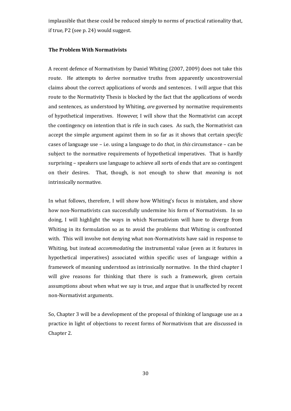implausible that these could be reduced simply to norms of practical rationality that, if true, P2 (see p. 24) would suggest.

#### **The Problem With Normativists**

A recent defence of Normativism by Daniel Whiting (2007, 2009) does not take this route. He attempts to derive normative truths from apparently uncontroversial claims about the correct applications of words and sentences. I will argue that this route to the Normativity Thesis is blocked by the fact that the applications of words and sentences, as understood by Whiting, *are* governed by normative requirements of hypothetical imperatives. However, I will show that the Normativist can accept the contingency on intention that is rife in such cases. As such, the Normativist can accept the simple argument against them in so far as it shows that certain *specific* cases of language use – i.e. using a language to do *that*, in *this* circumstance – can be subject to the normative requirements of hypothetical imperatives. That is hardly surprising – speakers use language to achieve all sorts of ends that are so contingent on their desires. That, though, is not enough to show that *meaning* is not intrinsically normative.

In what follows, therefore, I will show how Whiting's focus is mistaken, and show how non-Normativists can successfully undermine his form of Normativism. In so doing, I will highlight the ways in which Normativism will have to diverge from Whiting in its formulation so as to avoid the problems that Whiting is confronted with. This will involve not denying what non-Normativists have said in response to Whiting, but instead *accommodating* the instrumental value (even as it features in hypothetical imperatives) associated within specific uses of language within a framework of meaning understood as intrinsically normative. In the third chapter I will give reasons for thinking that there is such a framework, given certain assumptions about when what we say is true, and argue that is unaffected by recent non-Normativist arguments.

So, Chapter 3 will be a development of the proposal of thinking of language use as a practice in light of objections to recent forms of Normativism that are discussed in Chapter 2.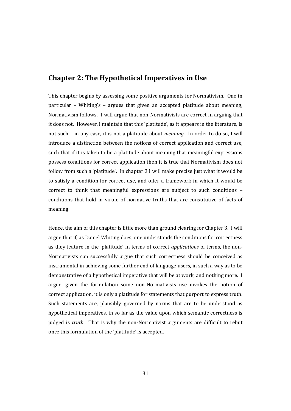### **Chapter 2: The Hypothetical Imperatives in Use**

This chapter begins by assessing some positive arguments for Normativism. One in particular – Whiting's – argues that given an accepted platitude about meaning, Normativism follows. I will argue that non-Normativists are correct in arguing that it does not. However, I maintain that this 'platitude', as it appears in the literature, is not such – in any case, it is not a platitude about *meaning*. In order to do so, I will introduce a distinction between the notions of correct application and correct use, such that if it is taken to be a platitude about meaning that meaningful expressions possess conditions for correct application then it is true that Normativism does not follow from such a 'platitude'. In chapter 3 I will make precise just what it would be to satisfy a condition for correct use, and offer a framework in which it would be correct to think that meaningful expressions are subject to such conditions – conditions that hold in virtue of normative truths that are constitutive of facts of meaning.

Hence, the aim of this chapter is little more than ground clearing for Chapter 3. I will argue that if, as Daniel Whiting does, one understands the conditions for correctness as they feature in the 'platitude' in terms of correct *applications* of terms, the non-Normativists can successfully argue that such correctness should be conceived as instrumental in achieving some further end of language users, in such a way as to be demonstrative of a hypothetical imperative that will be at work, and nothing more. I argue, given the formulation some non-Normativists use invokes the notion of correct application, it is only a platitude for statements that purport to express truth. Such statements are, plausibly, governed by norms that are to be understood as hypothetical imperatives, in so far as the value upon which semantic correctness is judged is *truth*. That is why the non-Normativist arguments are difficult to rebut once this formulation of the 'platitude' is accepted.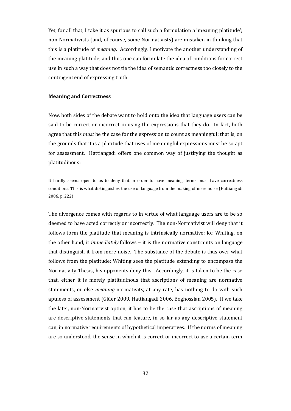Yet, for all that, I take it as spurious to call such a formulation a 'meaning platitude'; non-Normativists (and, of course, some Normativists) are mistaken in thinking that this is a platitude of *meaning*. Accordingly, I motivate the another understanding of the meaning platitude, and thus one can formulate the idea of conditions for correct use in such a way that does not tie the idea of semantic correctness too closely to the contingent end of expressing truth.

#### **Meaning and Correctness**

Now, both sides of the debate want to hold onto the idea that language users can be said to be correct or incorrect in using the expressions that they do. In fact, both agree that this *must* be the case for the expression to count as meaningful; that is, on the grounds that it is a platitude that uses of meaningful expressions must be so apt for assessment. Hattiangadi offers one common way of justifying the thought as platitudinous:

It hardly seems open to us to deny that in order to have meaning, terms must have correctness conditions. This is what distinguishes the use of language from the making of mere noise (Hattiangadi 2006, p. 222)

The divergence comes with regards to in virtue of what language users are to be so deemed to have acted correctly or incorrectly. The non-Normativist will deny that it follows form the platitude that meaning is intrinsically normative; for Whiting, on the other hand, it *immediately* follows – it is the normative constraints on language that distinguish it from mere noise. The substance of the debate is thus over what follows from the platitude: Whiting sees the platitude extending to encompass the Normativity Thesis, his opponents deny this. Accordingly, it is taken to be the case that, either it is merely platitudinous that ascriptions of meaning are normative statements, or else *meaning* normativity, at any rate, has nothing to do with such aptness of assessment (Glüer 2009, Hattiangadi 2006, Boghossian 2005). If we take the later, non-Normativist option, it has to be the case that ascriptions of meaning are descriptive statements that can feature, in so far as any descriptive statement can, in normative requirements of hypothetical imperatives. If the norms of meaning are so understood, the sense in which it is correct or incorrect to use a certain term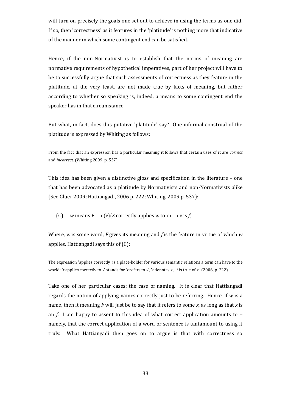will turn on precisely the goals one set out to achieve in using the terms as one did. If so, then 'correctness' as it features in the 'platitude' is nothing more that indicative of the manner in which some contingent end can be satisfied.

Hence, if the non-Normativist is to establish that the norms of meaning are normative requirements of hypothetical imperatives, part of her project will have to be to successfully argue that such assessments of correctness as they feature in the platitude, at the very least, are not made true by facts of meaning, but rather according to whether so speaking is, indeed, a means to some contingent end the speaker has in that circumstance.

But what, in fact, does this putative 'platitude' say? One informal construal of the platitude is expressed by Whiting as follows:

From the fact that an expression has a particular meaning it follows that certain uses of it are *correct* and *incorrect.* (Whiting 2009, p. 537)

This idea has been given a distinctive gloss and specification in the literature – one that has been advocated as a platitude by Normativists and non-Normativists alike (See Glüer 2009; Hattiangadi, 2006 p. 222; Whiting, 2009 p. 537):

(C) *w* means  $F \rightarrow (x)(S$  correctly applies *w* to  $x \rightarrow x$  is *f*)

Where, *w* is some word, *F* gives its meaning and *f* is the feature in virtue of which *w* applies. Hattiangadi says this of (C):

The expression 'applies correctly' is a place-holder for various semantic relations a term can have to the world: '*t* applies correctly to *x*' stands for '*t* refers to *x*', '*t* denotes *x*', '*t* is true of *x*'. (2006, p. 222)

Take one of her particular cases: the case of naming. It is clear that Hattiangadi regards the notion of applying names correctly just to be referring. Hence, if *w* is a name, then it meaning *F* will just be to say that it refers to some *x,* as long as that *x* is an *f*. I am happy to assent to this idea of what correct application amounts to – namely, that the correct application of a word or sentence is tantamount to using it truly. What Hattiangadi then goes on to argue is that with correctness so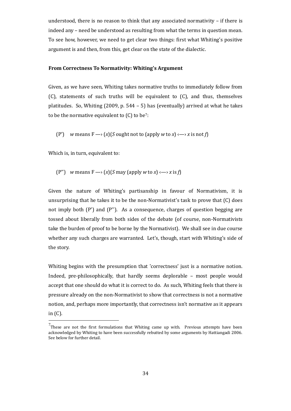understood, there is no reason to think that any associated normativity – if there is indeed any – need be understood as resulting from what the terms in question mean. To see how, however, we need to get clear two things: first what Whiting's positive argument is and then, from this, get clear on the state of the dialectic.

#### **From Correctness To Normativity: Whiting's Argument**

Given, as we have seen, Whiting takes normative truths to immediately follow from (C), statements of such truths will be equivalent to (C), and thus, themselves platitudes. So, Whiting (2009, p. 544 – 5) has (eventually) arrived at what he takes tobe the normative equivalent to  $(C)$  to be<sup>7</sup>:

(P') *w* means  $F \rightarrow (x)(S$  ought not to (apply *w* to *x*)  $\leftarrow$  *x* is not *f*)

Which is, in turn, equivalent to:

(P") *w* means  $F \rightarrow (x)(S \text{ may (apply } w \text{ to } x) \rightarrow x \text{ is } f)$ 

Given the nature of Whiting's partisanship in favour of Normativism, it is unsurprising that he takes it to be the non-Normativist's task to prove that (C) does not imply both (P') and (P''). As a consequence, charges of question begging are tossed about liberally from both sides of the debate (of course, non-Normativists take the burden of proof to be borne by the Normativist). We shall see in due course whether any such charges are warranted. Let's, though, start with Whiting's side of the story.

Whiting begins with the presumption that 'correctness' just is a normative notion. Indeed, pre-philosophically, that hardly seems deplorable – most people would accept that one should do what it is correct to do. As such, Whiting feels that there is pressure already on the non-Normativist to show that correctness is not a normative notion, and, perhaps more importantly, that correctness isn't normative as it appears in (C).

<span id="page-33-0"></span> $<sup>7</sup>$ These are not the first formulations that Whiting came up with. Previous attempts have been</sup> acknowledged by Whiting to have been successfully rebutted by some arguments by Hattiangadi 2006. See below for further detail.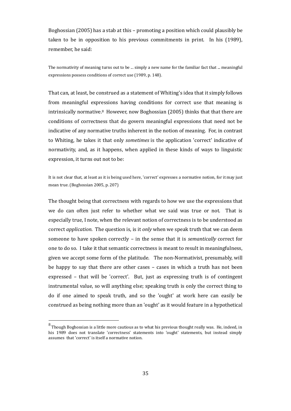Boghossian (2005) has a stab at this – promoting a position which could plausibly be taken to be in opposition to his previous commitments in print. In his (1989), remember, he said:

The normativity of meaning turns out to be ... simply a new name for the familiar fact that ... meaningful expressions possess conditions of correct use (1989, p. 148).

That can, at least, be construed as a statement of Whiting's idea that it simply follows from meaningful expressions having conditions for correct use that meaning is intrinsically normative.[8](#page-34-0) However, now Boghossian (2005) thinks that that there are conditions of correctness that do govern meaningful expressions that need not be indicative of any normative truths inherent in the notion of meaning. For, in contrast to Whiting, he takes it that only *sometimes* is the application 'correct' indicative of normativity, and, as it happens, when applied in these kinds of ways to linguistic expression, it turns out not to be:

It is not clear that, at least as it is being used here, 'correct' expresses a normative notion, for it may just mean true. (Boghossian 2005, p. 207)

The thought being that correctness with regards to how we use the expressions that we do can often just refer to whether what we said was true or not. That is especially true, I note, when the relevant notion of correctness is to be understood as correct *application*. The question is, is it *only* when we speak truth that we can deem someone to have spoken correctly – in the sense that it is *semantically* correct for one to do so. I take it that semantic correctness is meant to result in meaningfulness, given we accept some form of the platitude. The non-Normativist, presumably, will be happy to say that there are other cases – cases in which a truth has not been expressed – that will be 'correct'. But, just as expressing truth is of contingent instrumental value, so will anything else; speaking truth is only the correct thing to do if one aimed to speak truth, and so the 'ought' at work here can easily be construed as being nothing more than an 'ought' as it would feature in a hypothetical

<span id="page-34-0"></span> $^8$  Though Boghossian is a little more cautious as to what his previous thought really was. He, indeed, in his 1989 does not translate 'correctness' statements into 'ought' statements, but instead simply assumes that 'correct' is itself a normative notion.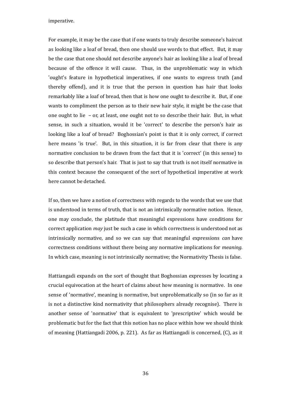imperative.

For example, it may be the case that if one wants to truly describe someone's haircut as looking like a loaf of bread, then one should use words to that effect. But, it may be the case that one should not describe anyone's hair as looking like a loaf of bread because of the offence it will cause. Thus, in the unproblematic way in which 'ought's feature in hypothetical imperatives, if one wants to express truth (and thereby offend), and it is true that the person in question has hair that looks remarkably like a loaf of bread, then that is how one ought to describe it. But, if one wants to compliment the person as to their new hair style, it might be the case that one ought to lie – or, at least, one ought not to so describe their hair. But, in what sense, in such a situation, would it be 'correct' to describe the person's hair as looking like a loaf of bread? Boghossian's point is that it is only correct, if correct here means 'is true'. But, in this situation, it is far from clear that there is any normative conclusion to be drawn from the fact that it is 'correct' (in this sense) to so describe that person's hair. That is just to say that truth is not itself normative in this context because the consequent of the sort of hypothetical imperative at work here cannot be detached.

If so, then we have a notion of correctness with regards to the words that we use that is understood in terms of truth, that is not an intrinsically normative notion. Hence, one may conclude, the platitude that meaningful expressions have conditions for correct application *may* just be such a case in which correctness is understood not as intrinsically normative, and so we can say that meaningful expressions *can* have correctness conditions without there being any normative implications for *meaning*. In which case, meaning is not intrinsically normative; the Normativity Thesis is false.

Hattiangadi expands on the sort of thought that Boghossian expresses by locating a crucial equivocation at the heart of claims about how meaning is normative. In one sense of 'normative', meaning is normative, but unproblematically so (in so far as it is not a distinctive kind normativity that philosophers already recognise). There is another sense of 'normative' that is equivalent to 'prescriptive' which would be problematic but for the fact that this notion has no place within how we should think of meaning (Hattiangadi 2006, p. 221). As far as Hattiangadi is concerned, (C), as it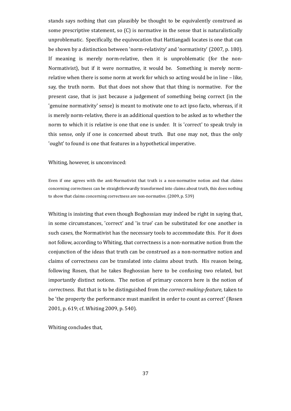stands says nothing that can plausibly be thought to be equivalently construed as some prescriptive statement, so (C) is normative in the sense that is naturalistically unproblematic. Specifically, the equivocation that Hattiangadi locates is one that can be shown by a distinction between 'norm-relativity' and 'normativity' (2007, p. 180). If meaning is merely norm-relative, then it is unproblematic (for the non-Normativist), but if it were normative, it would be. Something is merely normrelative when there is some norm at work for which so acting would be in line – like, say, the truth norm. But that does not show that that thing is normative. For the present case, that is just because a judgement of something being correct (in the 'genuine normativity' sense) is meant to motivate one to act ipso facto, whereas, if it is merely norm-relative, there is an additional question to be asked as to whether the norm to which it is relative is one that one is under. It is 'correct' to speak truly in this sense, only if one is concerned about truth. But one may not, thus the only 'ought' to found is one that features in a hypothetical imperative.

Whiting, however, is unconvinced:

Even if one agrees with the anti-Normativist that truth is a non-normative notion and that claims concerning correctness can be straightforwardly transformed into claims about truth, this does nothing to show that claims concerning correctness are non-normative. (2009, p. 539)

Whiting is insisting that even though Boghossian may indeed be right in saying that, in some circumstances, 'correct' and 'is true' can be substituted for one another in such cases, the Normativist has the necessary tools to accommodate this. For it does not follow, according to Whiting, that correctness is a non-normative notion from the conjunction of the ideas that truth can be construed as a non-normative notion and claims of correctness *can* be translated into claims about truth. His reason being, following Rosen, that he takes Boghossian here to be confusing two related, but importantly distinct notions. The notion of primary concern here is the notion of *correctness*. But that is to be distinguished from the *correct-making-feature*, taken to be 'the property the performance must manifest in order to count as correct' (Rosen 2001, p. 619; cf. Whiting 2009, p. 540).

Whiting concludes that,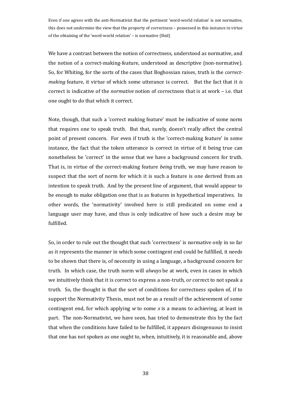Even if one agrees with the anti-Normativist that the pertinent 'word-world relation' is not normative, this does not undermine the view that the property of correctness – possessed in this instance in virtue of the obtaining of the 'word-world relation' – is normative (Ibid)

We have a contrast between the notion of correctness, understood as normative, and the notion of a correct-making-feature, understood as descriptive (non-normative). So, for Whiting, for the sorts of the cases that Boghossian raises, truth is the *correctmaking* feature, it virtue of which some utterance is correct. But the fact that it *is* correct is indicative of the *normative* notion of correctness that is at work – i.e. that one ought to do that which it correct.

Note, though, that such a 'correct making feature' must be indicative of some norm that requires one to speak truth. But that, surely, doesn't really affect the central point of present concern. For even if truth is the 'correct-making feature' in some instance, the fact that the token utterance is correct in virtue of it being true can nonetheless be 'correct' in the sense that we have a background concern for truth. That is, in virtue of the correct-making feature *being* truth, we may have reason to suspect that the sort of norm for which it is such a feature is one derived from an intention to speak truth. And by the present line of argument, that would appear to be enough to make obligation one that is as features in hypothetical imperatives. In other words, the 'normativity' involved here is still predicated on some end a language user may have, and thus is only indicative of how such a desire may be fulfilled.

So, in order to rule out the thought that such 'correctness' is normative only in so far as it represents the manner in which some contingent end could be fulfilled, it needs to be shown that there is, of necessity in using a language, a background concern for truth. In which case, the truth norm will *always* be at work, even in cases in which we intuitively think that it is correct to express a non-truth, or correct to not speak a truth. So, the thought is that the sort of conditions for correctness spoken of, if to support the Normativity Thesis, must not be as a result of the achievement of some contingent end, for which applying *w* to some *x* is a means to achieving, at least in part. The non-Normativist, we have seen, has tried to demonstrate this by the fact that when the conditions have failed to be fulfilled, it appears disingenuous to insist that one has not spoken as one ought to, when, intuitively, it is reasonable and, above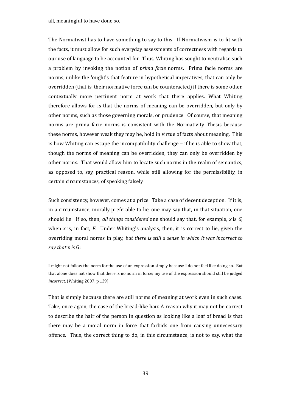all, meaningful to have done so.

The Normativist has to have something to say to this. If Normativism is to fit with the facts, it must allow for such everyday assessments of correctness with regards to our use of language to be accounted for. Thus, Whiting has sought to neutralise such a problem by invoking the notion of *prima facie* norms. Prima facie norms are norms, unlike the 'ought's that feature in hypothetical imperatives, that can only be overridden (that is, their normative force can be counteracted) if there is some other, contextually more pertinent norm at work that there applies. What Whiting therefore allows for is that the norms of meaning can be overridden, but only by other norms, such as those governing morals, or prudence. Of course, that meaning norms are prima facie norms is consistent with the Normativity Thesis because these norms, however weak they may be, hold in virtue of facts about meaning. This is how Whiting can escape the incompatibility challenge – if he is able to show that, though the norms of meaning can be overridden, they can only be overridden by other norms. That would allow him to locate such norms in the realm of semantics, as opposed to, say, practical reason, while still allowing for the permissibility, in certain circumstances, of speaking falsely.

Such consistency, however, comes at a price. Take a case of decent deception. If it is, in a circumstance, morally preferable to lie, one may say that, in that situation, one should lie. If so, then, *all things considered* one should say that, for example, *x* is *G*, when *x* is, in fact, *F*. Under Whiting's analysis, then, it is correct to lie, given the overriding moral norms in play, *but there is still a sense in which it was incorrect to say that* x *is* G:

I might not follow the norm for the use of an expression simply because I do not feel like doing so. But that alone does not show that there is no norm in force; my use of the expression should still be judged *incorrect*. (Whiting 2007, p.139)

That is simply because there are still norms of meaning at work even in such cases. Take, once again, the case of the bread-like hair. A reason why it may not be correct to describe the hair of the person in question as looking like a loaf of bread is that there may be a moral norm in force that forbids one from causing unnecessary offence. Thus, the correct thing to do, in this circumstance, is not to say, what the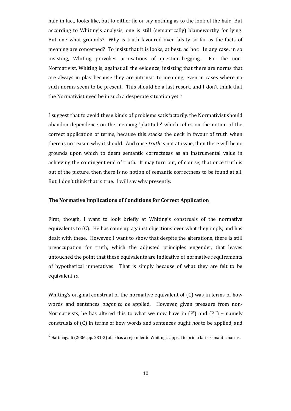hair, in fact, looks like, but to either lie or say nothing as to the look of the hair. But according to Whiting's analysis, one is still (semantically) blameworthy for lying. But one what grounds? Why is truth favoured over falsity so far as the facts of meaning are concerned? To insist that it is looks, at best, ad hoc. In any case, in so insisting, Whiting provokes accusations of question-begging. For the non-Normativist, Whiting is, against all the evidence, insisting that there are norms that are always in play because they are intrinsic to meaning, even in cases where no such norms seem to be present. This should be a last resort, and I don't think that the Normativist need be in such a desperate situationyet.<sup>9</sup>

I suggest that to avoid these kinds of problems satisfactorily, the Normativist should abandon dependence on the meaning 'platitude' which relies on the notion of the correct application of terms, because this stacks the deck in favour of truth when there is no reason why it should. And once *truth* is not at issue, then there will be no grounds upon which to deem semantic correctness as an instrumental value in achieving the contingent end of truth. It may turn out, of course, that once truth is out of the picture, then there is no notion of semantic correctness to be found at all. But, I don't think that is true. I will say why presently.

# **The Normative Implications of Conditions for Correct Application**

First, though, I want to look briefly at Whiting's construals of the normative equivalents to (C). He has come up against objections over what they imply, and has dealt with these. However, I want to show that despite the alterations, there is still preoccupation for truth, which the adjusted principles engender, that leaves untouched the point that these equivalents are indicative of normative requirements of hypothetical imperatives. That is simply because of what they are felt to be equivalent *to*.

Whiting's original construal of the normative equivalent of (C) was in terms of how words and sentences *ought to be* applied. However, given pressure from non-Normativists, he has altered this to what we now have in  $(P')$  and  $(P'')$  – namely construals of (C) in terms of how words and sentences ought *not* to be applied, and

<span id="page-39-0"></span> $9$  Hattiangadi (2006, pp. 231-2) also has a rejoinder to Whiting's appeal to prima facie semantic norms.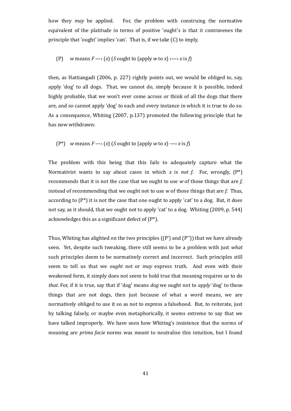how they *may* be applied. For, the problem with construing the normative equivalent of the platitude in terms of positive 'ought's is that it contravenes the principle that 'ought' implies 'can'. That is, if we take (C) to imply,

(P) *w* means 
$$
F \rightarrow (x)
$$
 (S ought to (apply *w* to *x*)  $\rightarrow$  *x* is *f*)

then, as Hattiangadi (2006, p. 227) rightly points out, we would be obliged to, say, apply 'dog' to all dogs. That, we cannot do, simply because it is possible, indeed highly probable, that we won't ever come across or think of all the dogs that there are, and so cannot apply 'dog' to each and every instance in which it is true to do so. As a consequence, Whiting (2007, p.137) promoted the following principle that he has now withdrawn:

(P<sup>\*</sup>) *w* means  $F \rightarrow (x)$  (*S* ought to (apply *w* to *x*)  $\rightarrow$  *x* is *f*)

The problem with this being that this fails to adequately capture what the Normativist wants to say about cases in which *x* is *not f*. For, wrongly, (P\*) recommends that it is not the case that we ought to use *w* of those things that are *f*, instead of recommending that we ought not to use *w* of those things that are *f*. Thus, according to  $(P^*)$  it is not the case that one ought to apply 'cat' to a dog. But, it does not say, as it should, that we ought not to apply 'cat' to a dog. Whiting (2009, p. 544) acknowledges this as a significant defect of (P\*).

Thus, Whiting has alighted on the two principles ((P') and (P'')) that we have already seen. Yet, despite such tweaking, there still seems to be a problem with just *what* such principles deem to be normatively correct and incorrect. Such principles still seem to tell us that we *ought not* or *may* express truth. And even with their weakened form, it simply does not seem to hold true that meaning requires us to do *that.* For, if it is true, say that if 'dog' means *dog* we ought not to *apply* 'dog' to those things that are not dogs, then just because of what a word means, we are normatively obliged to use it so as not to express a falsehood. But, to reiterate, just by talking falsely, or maybe even metaphorically, it seems extreme to say that we have talked improperly. We have seen how Whiting's insistence that the norms of meaning are *prima facie* norms was meant to neutralise this intuition, but I found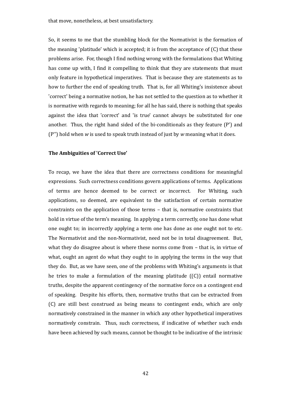So, it seems to me that the stumbling block for the Normativist is the formation of the meaning 'platitude' which is accepted; it is from the acceptance of  $(C)$  that these problems arise. For, though I find nothing wrong with the formulations that Whiting has come up with, I find it compelling to think that they are statements that must only feature in hypothetical imperatives. That is because they are statements as to how to further the end of speaking truth. That is, for all Whiting's insistence about 'correct' being a normative notion, he has not settled to the question as to whether it is normative with regards to meaning; for all he has said, there is nothing that speaks against the idea that 'correct' and 'is true' cannot always be substituted for one another. Thus, the right hand sided of the bi-conditionals as they feature (P') and (P'') hold when *w* is used to speak truth instead of just by *w* meaning what it does.

### **The Ambiguities of 'Correct Use'**

To recap, we have the idea that there are correctness conditions for meaningful expressions. Such correctness conditions govern applications of terms. Applications of terms are hence deemed to be correct or incorrect. For Whiting, such applications, so deemed, are equivalent to the satisfaction of certain normative constraints on the application of those terms – that is, normative constraints that hold in virtue of the term's meaning. In applying a term correctly, one has done what one ought to; in incorrectly applying a term one has done as one ought not to etc. The Normativist and the non-Normativist, need not be in total disagreement. But, what they do disagree about is where these norms come from – that is, in virtue of what, ought an agent do what they ought to in applying the terms in the way that they do. But, as we have seen, one of the problems with Whiting's arguments is that he tries to make a formulation of the meaning platitude  $((C))$  entail normative truths, despite the apparent contingency of the normative force on a contingent end of speaking. Despite his efforts, then, normative truths that can be extracted from (C) are still best construed as being means to contingent ends, which are only normatively constrained in the manner in which any other hypothetical imperatives normatively constrain. Thus, such correctness, if indicative of whether such ends have been achieved by such means, cannot be thought to be indicative of the intrinsic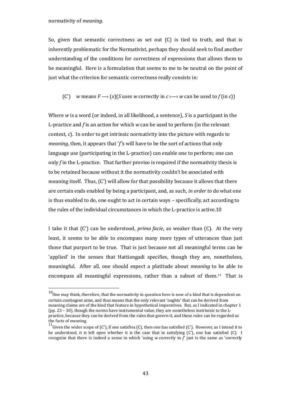So, given that semantic correctness as set out  $(C)$  is tied to truth, and that is inherently problematic for the Normativist, perhaps they should seek to find another understanding of the conditions for correctness of expressions that allows them to be meaningful. Here is a formulation that seems to me to be neutral on the point of just what the criterion for semantic correctness really consists in:

(C') *w* means  $F \rightarrow (x)(S$  uses *w* correctly in  $c \rightarrow w$  can be used to  $f$  (in *c*))

Where *w* is a word (or indeed, in all likelihood, a sentence), *S* is a participant in the L-practice and *f* is an action for which *w* can be used to perform (in the relevant context, *c*). In order to get intrinsic normativity into the picture with regards to *meaning*, then, it appears that '*f'*s will have to be the sort of actions that only language use (participating in the L-practice) can enable one to perform; one can only *f* in the L-practice. That further proviso is required if the normativity thesis is to be retained because without it the normativity couldn't be associated with meaning itself. Thus, (C') will allow for that possibility because it allows that there are certain ends enabled by being a participant, and, as such, *in order to* do what one is thus enabled to do, one ought to act in certain ways – specifically, act according to the rules of the individual circumstances in which the L-practiceisactive.[10](#page-42-0)

I take it that (C') can be understood, *prima facie*, as weaker than (C). At the very least, it seems to be able to encompass many more types of utterances than just those that purport to be true. That is just because not all meaningful terms can be 'applied' in the senses that Hattiangadi specifies, though they are, nonetheless, meaningful. After all, one should expect a platitude about *meaning* to be able to encompass all meaningful expressions, rather than a subsetofthem[.](#page-42-1)<sup>11</sup> That is

<span id="page-42-0"></span> $^{10}$  One may think, therefore, that the normativity in question here is now of a kind that is dependent on certain contingent aims, and thus means that the only relevant 'oughts' that can be derived from meaning claims are of the kind that feature in hypothetical imperatives. But, as I indicated in chapter 1 (pp. 23 – 30), though the norms have instrumental value, they are nonetheless instrinisic to the Lpractice, because they can be derived from the rules that govern it, and these rules can be regarded as the facts of meaning.

<span id="page-42-1"></span><sup>&</sup>lt;sup>11</sup> Given the wider scope of (C'), if one satisfies (C), then one has satisfied (C'). However, as I intend it to be understood, it is left open whether it is the case that in satisfying (C'), one has satisfied (C). I recognise that there is indeed a sense in which 'using *w* correctly to *f*' just is the same as 'correctly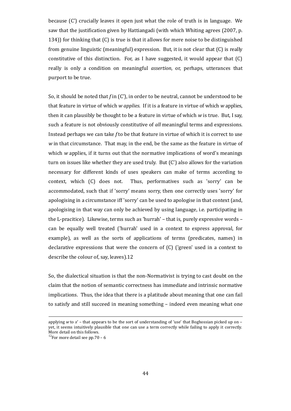because (C') crucially leaves it open just what the role of truth is in language. We saw that the justification given by Hattiangadi (with which Whiting agrees (2007, p. 134)) for thinking that (C) is true is that it allows for mere noise to be distinguished from genuine linguistic (meaningful) expression. But, it is not clear that (C) is really constitutive of this distinction. For, as I have suggested, it would appear that (C) really is only a condition on meaningful *assertion*, or, perhaps, utterances that purport to be true.

So, it should be noted that *f* in (C'), in order to be neutral, cannot be understood to be that feature in virtue of which *w applies*. If it is a feature in virtue of which *w* applies, then it can plausibly be thought to be a feature in virtue of which *w* is true. But, I say, such a feature is not obviously constitutive of *all* meaningful terms and expressions. Instead perhaps we can take *f* to be that feature in virtue of which it is correct to use *w* in that circumstance. That may, in the end, be the same as the feature in virtue of which *w* applies, if it turns out that the normative implications of word's meanings turn on issues like whether they are used truly. But (C') also allows for the variation necessary for different kinds of uses speakers can make of terms according to context, which (C) does not. Thus, performatives such as 'sorry' can be accommodated, such that if 'sorry' means sorry, then one correctly uses 'sorry' for apologising in a circumstance iff 'sorry' can be used to apologise in that context (and, apologising in that way can only be achieved by using language, i.e. participating in the L-pracitice). Likewise, terms such as 'hurrah' – that is, purely expressive words – can be equally well treated ('hurrah' used in a context to express approval, for example), as well as the sorts of applications of terms (predicates, names) in declarative expressions that were the concern of (C) ('green' used in a context to describe the colour of, say,leaves).[12](#page-43-0)

So, the dialectical situation is that the non-Normativist is trying to cast doubt on the claim that the notion of semantic correctness has immediate and intrinsic normative implications. Thus, the idea that there is a platitude about meaning that one can fail to satisfy and still succeed in meaning something – indeed even meaning what one

applying *w* to *x*' – that appears to be the sort of understanding of 'use' that Boghossian picked up on – yet, it seems intuitively plausible that one can use a term correctly while failing to apply it correctly. More detail on this follows.

<span id="page-43-0"></span><sup>&</sup>lt;sup>12</sup>For more detail see pp.70 – 6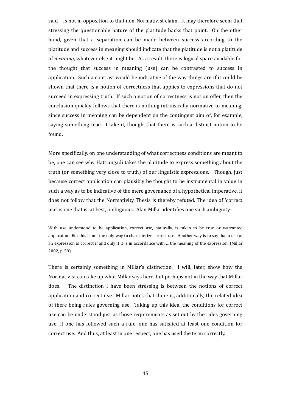said – is not in opposition to that non-Normativist claim. It may therefore seem that stressing the questionable nature of the platitude backs that point. On the other hand, given that a separation can be made between success according to the platitude and success in meaning should indicate that the platitude is not a platitude of *meaning*, whatever else it might be. As a result, there is logical space available for the thought that success in meaning (use) can be contrasted to success in application. Such a contrast would be indicative of the way things are if it could be shown that there is a notion of correctness that applies to expressions that do not succeed in expressing truth. If such a notion of correctness is not on offer, then the conclusion quickly follows that there is nothing intrinsically normative to meaning, since success in meaning can be dependent on the contingent aim of, for example, saying something true. I take it, though, that there is such a distinct notion to be found.

More specifically, on one understanding of what correctness conditions are meant to be, one can see why Hattiangadi takes the platitude to express something about the truth (or something very close to truth) of our linguistic expressions. Though, just because correct application can plausibly be thought to be instrumental in value in such a way as to be indicative of the mere governance of a hypothetical imperative, it does not follow that the Normativity Thesis is thereby refuted. The idea of 'correct use' is one that is, at best, ambiguous. Alan Millar identifies one such ambiguity:

With use understood to be application, correct use, naturally, is taken to be true or warranted application. But this is not the only way to characterize correct use. Another way is to say that a use of an expression is correct if and only if it is in accordance with ... the meaning of the expression. (Millar 2002, p. 59)

There is certainly something in Millar's distinction. I will, later, show how the Normativist can take up what Millar says here, but perhaps not in the way that Millar does. The distinction I have been stressing is between the notions of correct application and correct use. Millar notes that there is, additionally, the related idea of there being rules governing use. Taking up this idea, the conditions for correct use can be understood just as those requirements as set out by the rules governing use; if one has followed such a rule, one has satisfied at least one condition for correct use. And thus, at least in one respect, one has used the term correctly.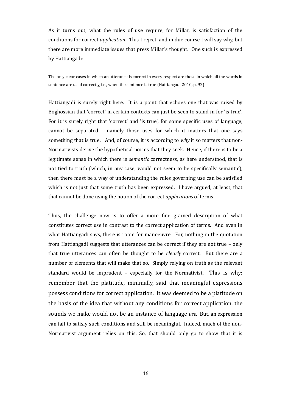As it turns out, what the rules of use require, for Millar, is satisfaction of the conditions for correct *application*. This I reject, and in due course I will say why, but there are more immediate issues that press Millar's thought. One such is expressed by Hattiangadi:

The only clear cases in which an utterance is correct in every respect are those in which all the words in sentence are used correctly, i.e., when the sentence is true (Hattiangadi 2010, p. 92)

Hattiangadi is surely right here. It is a point that echoes one that was raised by Boghossian that 'correct' in certain contexts can just be seen to stand in for 'is true'. For it is surely right that 'correct' and 'is true', for some specific uses of language, cannot be separated – namely those uses for which it matters that one says something that is true. And, of course, it is according to *why* it so matters that non-Normativists derive the hypothetical norms that they seek. Hence, if there is to be a legitimate sense in which there is *semantic* correctness, as here understood, that is not tied to truth (which, in any case, would not seem to be specifically semantic), then there must be a way of understanding the rules governing use can be satisfied which is not just that some truth has been expressed. I have argued, at least, that that cannot be done using the notion of the correct *applications* of terms.

Thus, the challenge now is to offer a more fine grained description of what constitutes correct use in contrast to the correct application of terms. And even in what Hattiangadi says, there is room for manoeuvre. For, nothing in the quotation from Hattiangadi suggests that utterances can be correct if they are not true – only that true utterances can often be thought to be *clearly* correct. But there are a number of elements that will make that so. Simply relying on truth as the relevant standard would be imprudent – especially for the Normativist. This is why: remember that the platitude, minimally, said that meaningful expressions possess conditions for correct application. It was deemed to be a platitude on the basis of the idea that without any conditions for correct application, the sounds we make would not be an instance of language *use*. But, an expression can fail to satisfy such conditions and still be meaningful. Indeed, much of the non-Normativist argument relies on this. So, that should only go to show that it is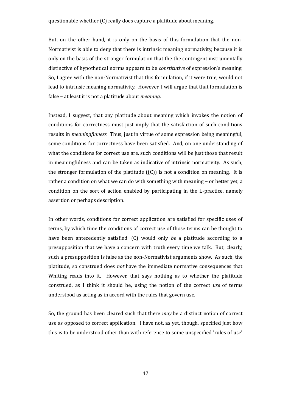But, on the other hand, it is only on the basis of this formulation that the non-Normativist is able to deny that there is intrinsic meaning normativity, because it is only on the basis of the stronger formulation that the the contingent instrumentally distinctive of hypothetical norms appears to be *constitutive* of expression's meaning. So, I agree with the non-Normativist that this formulation, if it were true, would not lead to intrinsic meaning normativity. However, I will argue that that formulation is false – at least it is not a platitude about *meaning*.

Instead, I suggest, that any platitude about meaning which invokes the notion of conditions for correctness must just imply that the satisfaction of such conditions results in *meaningfulness.* Thus, just in virtue of some expression being meaningful, some conditions for correctness have been satisfied. And, on one understanding of what the conditions for correct use are, such conditions will be just those that result in meaningfulness and can be taken as indicative of intrinsic normativity. As such, the stronger formulation of the platitude  $((C))$  is not a condition on meaning. It is rather a condition on what we can do with something with meaning – or better yet, a condition on the sort of action enabled by participating in the L-practice, namely assertion or perhaps description.

In other words, conditions for correct application are satisfied for specific uses of terms, by which time the conditions of correct use of those terms can be thought to have been antecedently satisfied. (C) would only *be* a platitude according to a presupposition that we have a concern with truth every time we talk. But, clearly, such a presupposition is false as the non-Normativist arguments show. As such, the platitude, so construed does *not* have the immediate normative consequences that Whiting reads into it. However, that says nothing as to whether the platitude construed, as I think it should be, using the notion of the correct *use* of terms understood as acting as in accord with the rules that govern use.

So, the ground has been cleared such that there *may* be a distinct notion of correct use as opposed to correct application. I have not, as yet, though, specified just how this is to be understood other than with reference to some unspecified 'rules of use'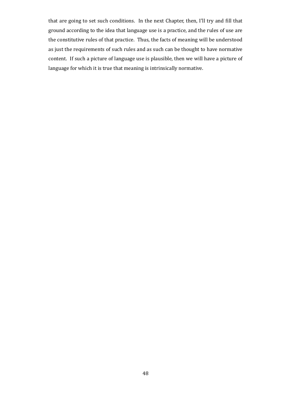that are going to set such conditions. In the next Chapter, then, I'll try and fill that ground according to the idea that language use is a practice, and the rules of use are the constitutive rules of that practice. Thus, the facts of meaning will be understood as just the requirements of such rules and as such can be thought to have normative content. If such a picture of language use is plausible, then we will have a picture of language for which it is true that meaning is intrinsically normative.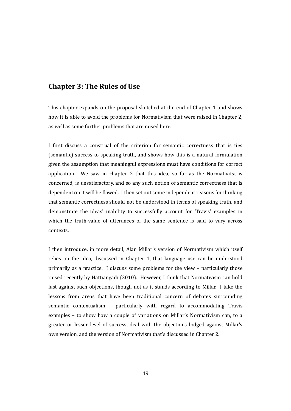# **Chapter 3: The Rules of Use**

This chapter expands on the proposal sketched at the end of Chapter 1 and shows how it is able to avoid the problems for Normativism that were raised in Chapter 2, as well as some further problems that are raised here.

I first discuss a construal of the criterion for semantic correctness that is ties (semantic) success to speaking truth, and shows how this is a natural formulation given the assumption that meaningful expressions must have conditions for correct application. We saw in chapter 2 that this idea, so far as the Normativitst is concerned, is unsatisfactory, and so any such notion of semantic correctness that is dependent on it will be flawed. I then set out some independent reasons for thinking that semantic correctness should not be understood in terms of speaking truth, and demonstrate the ideas' inability to successfully account for 'Travis' examples in which the truth-value of utterances of the same sentence is said to vary across contexts.

I then introduce, in more detail, Alan Millar's version of Normativism which itself relies on the idea, discussed in Chapter 1, that language use can be understood primarily as a practice. I discuss some problems for the view – particularly those raised recently by Hattiangadi (2010). However, I think that Normativism can hold fast against such objections, though not as it stands according to Millar. I take the lessons from areas that have been traditional concern of debates surrounding semantic contextualism – particularly with regard to accommodating Travis examples – to show how a couple of variations on Millar's Normativism can, to a greater or lesser level of success, deal with the objections lodged against Millar's own version, and the version of Normativism that's discussed in Chapter 2.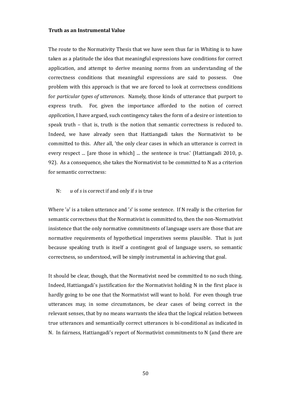### **Truth as an Instrumental Value**

The route to the Normativity Thesis that we have seen thus far in Whiting is to have taken as a platitude the idea that meaningful expressions have conditions for correct application, and attempt to derive meaning norms from an understanding of the correctness conditions that meaningful expressions are said to possess. One problem with this approach is that we are forced to look at correctness conditions for *particular types of utterances*. Namely, those kinds of utterance that purport to express truth. For, given the importance afforded to the notion of correct *application*, I have argued, such contingency takes the form of a desire or intention to speak truth – that is, truth is the notion that semantic correctness is reduced to. Indeed, we have already seen that Hattiangadi takes the Normativist to be committed to this. After all, 'the only clear cases in which an utterance is correct in every respect ... [are those in which] ... the sentence is true.' (Hattiangadi 2010, p. 92). As a consequence, she takes the Normativist to be committed to N as a criterion for semantic correctness:

# N: *u* of *s* is correct if and only if *s* is true

Where '*u*' is a token utterance and '*s*' is some sentence. If N really is the criterion for semantic correctness that the Normativist is committed to, then the non-Normativist insistence that the only normative commitments of language users are those that are normative requirements of hypothetical imperatives seems plausible. That is just because speaking truth is itself a contingent goal of language users, so semantic correctness, so understood, will be simply instrumental in achieving that goal.

It should be clear, though, that the Normativist need be committed to no such thing. Indeed, Hattiangadi's justification for the Normativist holding N in the first place is hardly going to be one that the Normativist will want to hold. For even though true utterances may, in some circumstances, be clear cases of being correct in the relevant senses, that by no means warrants the idea that the logical relation between true utterances and semantically correct utterances is bi-conditional as indicated in N. In fairness, Hattiangadi's report of Normativist commitments to N (and there are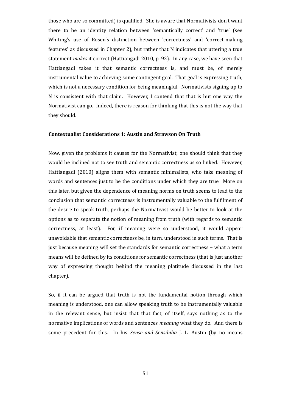those who are so committed) is qualified. She is aware that Normativists don't want there to be an identity relation between 'semantically correct' and 'true' (see Whiting's use of Rosen's distinction between 'correctness' and 'correct-making features' as discussed in Chapter 2), but rather that N indicates that uttering a true statement *makes* it correct (Hattiangadi 2010, p. 92). In any case, we have seen that Hattiangadi takes it that semantic correctness is, and must be, of merely instrumental value to achieving some contingent goal. That goal is expressing truth, which is not a necessary condition for being meaningful. Normativists signing up to N is consistent with that claim. However, I contend that that is but one way the Normativist can go. Indeed, there is reason for thinking that this is not the way that they should.

# **Contextualist Considerations 1: Austin and Strawson On Truth**

Now, given the problems it causes for the Normativist, one should think that they would be inclined not to see truth and semantic correctness as so linked. However, Hattiangadi (2010) aligns them with semantic minimalists, who take meaning of words and sentences just to be the conditions under which they are true. More on this later, but given the dependence of meaning norms on truth seems to lead to the conclusion that semantic correctness is instrumentally valuable to the fulfilment of the desire to speak truth, perhaps the Normativist would be better to look at the options as to separate the notion of meaning from truth (with regards to semantic correctness, at least). For, if meaning were so understood, it would appear unavoidable that semantic correctness be, in turn, understood in such terms. That is just because meaning will set the standards for semantic correctness – what a term means will be defined by its conditions for semantic correctness (that is just another way of expressing thought behind the meaning platitude discussed in the last chapter).

So, if it can be argued that truth is not the fundamental notion through which meaning is understood, one can allow speaking truth to be instrumentally valuable in the relevant sense, but insist that that fact, of itself, says nothing as to the normative implications of words and sentences *meaning* what they do. And there is some precedent for this. In his *Sense and Sensibilia* J. L. Austin (by no means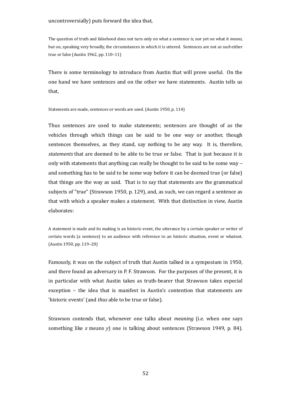The question of truth and falsehood does not turn only on what a sentence *is,* nor yet on what it *means*, but on, speaking very broadly, the circumstances in which it is uttered. Sentences are not *as such* either true or false (Austin 1962, pp. 110–11)

There is some terminology to introduce from Austin that will prove useful. On the one hand we have sentences and on the other we have statements. Austin tells us that,

Statements are made, sentences or words are used. (Austin 1950, p. 114)

Thus sentences are used to make statements; sentences are thought of as the vehicles through which things can be said to be one way or another, though sentences themselves, as they stand, say nothing to be any way. It is, therefore, *statements* that are deemed to be able to be true or false. That is just because it is only with statements that anything can really be thought to be said to be some way – and something has to be said to be some way before it can be deemed true (or false) that things are the way as said. That is to say that statements are the grammatical subjects of "true" (Strawson 1950, p. 129), and, as such, we can regard a sentence as that with which a speaker makes a statement. With that distinction in view, Austin elaborates:

A statement is made and its making is an historic event, the utterance by a certain speaker or writer of certain words (a sentence) to an audience with reference to an historic situation, event or whatnot. (Austin 1950, pp. 119–20)

Famously, it was on the subject of truth that Austin talked in a symposium in 1950, and there found an adversary in P. F. Strawson. For the purposes of the present, it is in particular with what Austin takes as truth-bearer that Strawson takes especial exception – the idea that is manifest in Austin's contention that statements are 'historic events' (and *thus* able to be true or false).

Strawson contends that, whenever one talks about *meaning* (i.e. when one says something like *x* means *y*) one is talking about sentences (Strawson 1949, p. 84).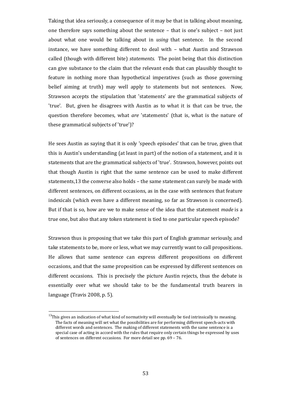Taking that idea seriously, a consequence of it may be that in talking about meaning, one therefore says something about the sentence – that is one's subject – not just about what one would be talking about in *using* that sentence. In the second instance, we have something different to deal with – what Austin and Strawson called (though with different bite) *statements.* The point being that this distinction can give substance to the claim that the relevant ends that can plausibly thought to feature in nothing more than hypothetical imperatives (such as those governing belief aiming at truth) may well apply to statements but not sentences. Now, Strawson accepts the stipulation that 'statements' are the grammatical subjects of 'true'. But, given he disagrees with Austin as to what it is that can be true, the question therefore becomes, what *are* 'statements' (that is, what is the nature of these grammatical subjects of 'true')?

He sees Austin as saying that it is only 'speech episodes' that can be true, given that this is Austin's understanding (at least in part) of the notion of a statement, and it is statements that are the grammatical subjects of 'true'. Strawson, however, points out that though Austin is right that the same sentence can be used to make different statements[,13](#page-52-0) the converse also holds – the same statement can surely be made with different sentences, on different occasions, as in the case with sentences that feature indexicals (which even have a different meaning, so far as Strawson is concerned). But if that is so, how are we to make sense of the idea that the statement *made* is a true one, but also that any token statement is tied to one particular speech episode?

Strawson thus is proposing that we take this part of English grammar seriously, and take statements to be, more or less, what we may currently want to call propositions. He allows that same sentence can express different propositions on different occasions, and that the same proposition can be expressed by different sentences on different occasions. This is precisely the picture Austin rejects, thus the debate is essentially over what we should take to be the fundamental truth bearers in language (Travis 2008, p. 5).

<span id="page-52-0"></span> $13$ This gives an indication of what kind of normativity will eventually be tied intrinsically to meaning. The facts of meaning will set what the possibilities are for performing different speech-acts with different words and sentences. The making of different statements with the same sentence is a special case of acting in accord with the rules that require only certain things be expressed by uses of sentences on different occasions. For more detail see pp. 69 – 76.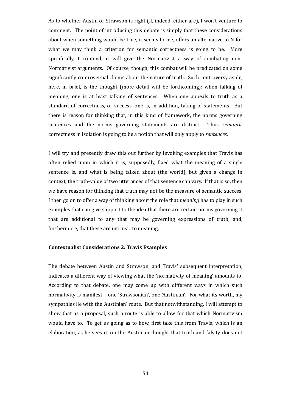As to whether Austin or Strawson is right (if, indeed, either are), I won't venture to comment. The point of introducing this debate is simply that these considerations about when something would be true, it seems to me, offers an alternative to N for what we may think a criterion for semantic correctness is going to be. More specifically, I contend, it will give the Normativist a way of combating non-Normativist arguments. Of course, though, this combat will be predicated on some significantly controversial claims about the nature of truth. Such controversy aside, here, in brief, is the thought (more detail will be forthcoming): when talking of meaning, one is at least talking of sentences. When one appeals to truth as a standard of correctness, or success, one is, in addition, taking of statements. But there is reason for thinking that, in this kind of framework, the norms governing sentences and the norms governing statements are distinct. Thus *semantic* correctness in isolation is going to be a notion that will only apply to *sentences*.

I will try and presently draw this out further by invoking examples that Travis has often relied upon in which it is, supposedly, fixed what the meaning of a single sentence is, and what is being talked about (the world), but given a change in context, the truth-value of two utterances of that sentence can vary. If that is so, then we have reason for thinking that truth may not be the measure of semantic success. I then go on to offer a way of thinking about the role that *meaning* has to play in such examples that can give support to the idea that there are certain norms governing it that are additional to any that may be governing expressions of truth, and, furthermore, that these are intrinsic to meaning.

### **Contextualist Considerations 2: Travis Examples**

The debate between Austin and Strawson, and Travis' subsequent interpretation, indicates a different way of viewing what the 'normativity of meaning' amounts to. According to that debate, one may come up with different ways in which such normativity is manifest – one 'Strawsonian', one 'Austinian'. For what its worth, my sympathies lie with the 'Austinian' route. But that notwithstanding, I will attempt to show that as a proposal, such a route is able to allow for that which Normativism would have to. To get us going as to how, first take this from Travis, which is an elaboration, as he sees it, on the Austinian thought that truth and falsity does not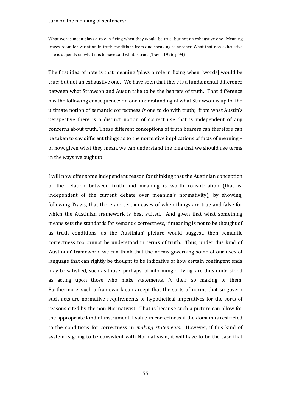#### turn on the meaning of sentences:

What words mean plays a role in fixing when they would be true; but not an exhaustive one. Meaning leaves room for variation in truth conditions from one speaking to another. What that non-exhaustive role is depends on what it is to have said what is true. (Travis 1996, p.94)

The first idea of note is that meaning 'plays a role in fixing when [words] would be true; but not an exhaustive one.' We have seen that there is a fundamental difference between what Strawson and Austin take to be the bearers of truth. That difference has the following consequence: on one understanding of what Strawson is up to, the ultimate notion of semantic correctness *is* one to do with truth; from what Austin's perspective there is a distinct notion of correct use that is independent of any concerns about truth. These different conceptions of truth bearers can therefore can be taken to say different things as to the normative implications of facts of meaning – of how, given what they mean, we can understand the idea that we should use terms in the ways we ought to.

I will now offer some independent reason for thinking that the Austinian conception of the relation between truth and meaning is worth consideration (that is, independent of the current debate over meaning's normativity), by showing, following Travis, that there are certain cases of when things are true and false for which the Austinian framework is best suited. And given that what something means sets the standards for semantic correctness, if meaning is not to be thought of as truth conditions, as the 'Austinian' picture would suggest, then semantic correctness too cannot be understood in terms of truth. Thus, under this kind of 'Austinian' framework, we can think that the norms governing some of our uses of language that can rightly be thought to be indicative of how certain contingent ends may be satisfied, such as those, perhaps, of informing or lying, are thus understood as acting upon those who make statements, *in* their so making of them. Furthermore, such a framework can accept that the sorts of norms that so govern such acts are normative requirements of hypothetical imperatives for the sorts of reasons cited by the non-Normativist. That is because such a picture can allow for the appropriate kind of instrumental value in correctness if the domain is restricted to the conditions for correctness in *making statements*. However, if this kind of system is going to be consistent with Normativism, it will have to be the case that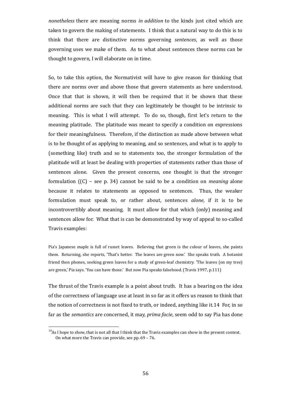*nonetheless* there are meaning norms *in addition* to the kinds just cited which are taken to govern the making of statements. I think that a natural way to do this is to think that there are distinctive norms governing *sentences*, as well as those governing uses we make of them. As to what about sentences these norms can be thought to govern, I will elaborate on in time.

So, to take this option, the Normativist will have to give reason for thinking that there are norms over and above those that govern statements as here understood. Once that that is shown, it will then be required that it be shown that these additional norms are such that they can legitimately be thought to be intrinsic to meaning. This is what I will attempt. To do so, though, first let's return to the meaning platitude. The platitude was meant to specify a condition on expressions for their meaningfulness. Therefore, if the distinction as made above between what is to be thought of as applying to meaning, and so sentences, and what is to apply to (something like) truth and so to statements too, the stronger formulation of the platitude will at least be dealing with properties of statements rather than those of sentences alone. Given the present concerns, one thought is that the stronger formulation ((C) – see p. 34) cannot be said to be a condition on *meaning* alone because it relates to statements as opposed to sentences. Thus, the weaker formulation must speak to, or rather about, sentences *alone*, if it is to be incontrovertibly about meaning. It must allow for that which (only) meaning and sentences allow for. What that is can be demonstrated by way of appeal to so-called Travis examples:

Pia's Japanese maple is full of russet leaves. Believing that green is the colour of leaves, she paints them. Returning, she reports, 'That's better. The leaves are green now.' She speaks truth. A botanist friend then phones, seeking green leaves for a study of green-leaf chemistry. 'The leaves (on my tree) are green,' Pia says. 'You can have those.' But now Pia speaks falsehood. (Travis 1997, p.111)

The thrust of the Travis example is a point about truth. It has a bearing on the idea [of the correctness of language use at least in so far as it offers us reason to think that](#page-55-0) the notion of correctness is not fixed to truth, or indeed, anything like it.14 For, in so far as the *semantics* are concerned, it may, *prima facie*[, seem odd to say Pia has done](#page-55-0)

<span id="page-55-0"></span> $14$ As I hope to show, that is not all that I think that the Travis examples can show in the present context. On what more the Travis can provide, see pp. 69 – 76.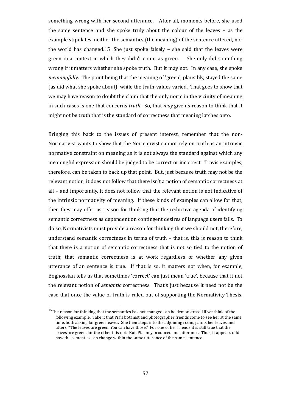something wrong with her second utterance. After all, moments before, she used the same sentence and she spoke truly about the colour of the leaves – as the example stipulates, neither the semantics (the meaning) of the sentence uttered, nor the world haschanged.[15](#page-56-0) She just spoke falsely – she said that the leaves were green in a context in which they didn't count as green. She only did something wrong if it matters whether she spoke truth. But it may not. In any case, she spoke *meaningfully*. The point being that the meaning of 'green', plausibly, stayed the same (as did what she spoke about), while the truth-values varied. That goes to show that we may have reason to doubt the claim that the only norm in the vicinity of meaning in such cases is one that concerns *truth*. So, that *may* give us reason to think that it might not be truth that is the standard of correctness that meaning latches onto.

Bringing this back to the issues of present interest, remember that the non-Normativist wants to show that the Normativist cannot rely on truth as an intrinsic normative constraint on meaning as it is not always the standard against which any meaningful expression should be judged to be correct or incorrect. Travis examples, therefore, can be taken to back up that point. But, just because truth may not be the relevant notion, it does not follow that there isn't a notion of semantic correctness at all – and importantly, it does not follow that the relevant notion is not indicative of the intrinsic normativity of meaning. If these kinds of examples can allow for that, then they may offer us reason for thinking that the reductive agenda of identifying semantic correctness as dependent on contingent desires of language users fails. To do so, Normativists must provide a reason for thinking that we should not, therefore, understand semantic correctness in terms of truth – that is, this is reason to think that there is a notion of semantic correctness that is not so tied to the notion of truth; that semantic correctness is at work regardless of whether any given utterance of an sentence is true. If that is so, it matters not when, for example, Boghossian tells us that sometimes 'correct' can just mean 'true', because that it not the relevant notion of *semantic* correctness. That's just because it need not be the case that once the value of truth is ruled out of supporting the Normativity Thesis,

<span id="page-56-0"></span><sup>&</sup>lt;sup>15</sup>The reason for thinking that the semantics has not changed can be demonstrated if we think of the following example. Take it that Pia's botanist and photographer friends come to see her at the same time, both asking for green leaves. She then steps into the adjoining room, paints her leaves and utters, "The leaves are green. You can have those." For one of her friends it is still true that the leaves are green, for the other it is not. But, Pia only produced one utterance. Thus, it appears odd how the semantics can change within the same utterance of the same sentence.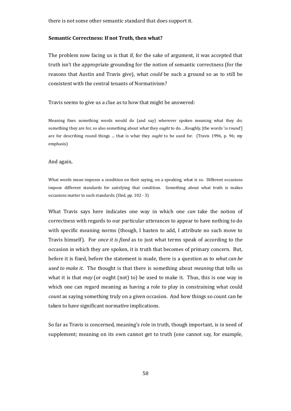there is not some other semantic standard that does support it.

#### **Semantic Correctness: If not Truth, then what?**

The problem now facing us is that if, for the sake of argument, it was accepted that truth isn't the appropriate grounding for the notion of semantic correctness (for the reasons that Austin and Travis give), what *could* be such a ground so as to still be consistent with the central tenants of Normativism?

#### Travis seems to give us a clue as to how that might be answered:

Meaning fixes something words would do (and say) wherever spoken meaning what they do; something they are for, so also something about what they *ought* to do. ...Roughly, [the words 'is round'] are for describing round things ... that is what they *ought* to be used for. (Travis 1996, p. 96; my emphasis)

#### And again,

What words mean imposes a condition on their saying, on a speaking, what is so. Different occasions impose different standards for satisfying that condition. Something about what truth is makes occasions matter to such standards. (Ibid, pp. 102 - 3)

What Travis says here indicates one way in which one *can* take the notion of correctness with regards to our particular utterances to appear to have nothing to do with specific meaning norms (though, I hasten to add, I attribute no such move to Travis himself). For *once it is fixed* as to just what terms speak of according to the occasion in which they are spoken, it is truth that becomes of primary concern. But, before it is fixed, before the statement is made, there is a question as to *what can be used to make it*. The thought is that there is something about *meaning* that tells us what it is that *may* (or ought (not) to) be used to make it. Thus, this is one way in which one can regard meaning as having a role to play in constraining what could *count* as saying something truly on a given occasion. And how things so count can be taken to have significant normative implications.

So far as Travis is concerned, meaning's role in truth, though important, is in need of supplement; meaning on its own cannot get to truth (one cannot say, for example,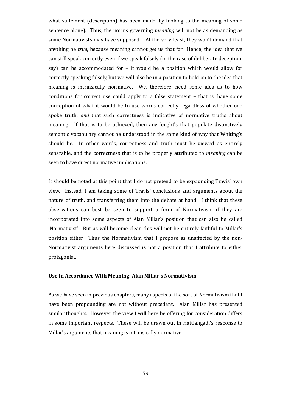what statement (description) has been made, by looking to the meaning of some sentence alone). Thus, the norms governing *meaning* will not be as demanding as some Normativists may have supposed. At the very least, they won't demand that anything be *true*, because meaning cannot get us that far. Hence, the idea that we can still speak correctly even if we speak falsely (in the case of deliberate deception, say) can be accommodated for – it would be a position which would allow for correctly speaking falsely, but we will also be in a position to hold on to the idea that meaning is intrinsically normative. We, therefore, need some idea as to how conditions for correct use could apply to a false statement – that is, have some conception of what it would be to use words correctly regardless of whether one spoke truth, *and* that such correctness is indicative of normative truths about meaning. If that is to be achieved, then any 'ought's that populate distinctively semantic vocabulary cannot be understood in the same kind of way that Whiting's should be. In other words, correctness and truth must be viewed as entirely separable, and the correctness that is to be properly attributed to *meaning* can be seen to have direct normative implications.

It should be noted at this point that I do not pretend to be expounding Travis' own view. Instead, I am taking some of Travis' conclusions and arguments about the nature of truth, and transferring them into the debate at hand. I think that these observations can best be seen to support a form of Normativism if they are incorporated into some aspects of Alan Millar's position that can also be called 'Normativist'. But as will become clear, this will not be entirely faithful to Millar's position either. Thus the Normativism that I propose as unaffected by the non-Normativist arguments here discussed is not a position that I attribute to either protagonist.

## **Use In Accordance With Meaning: Alan Millar's Normativism**

As we have seen in previous chapters, many aspects of the sort of Normativism that I have been propounding are not without precedent. Alan Millar has presented similar thoughts. However, the view I will here be offering for consideration differs in some important respects. These will be drawn out in Hattiangadi's response to Millar's arguments that meaning is intrinsically normative.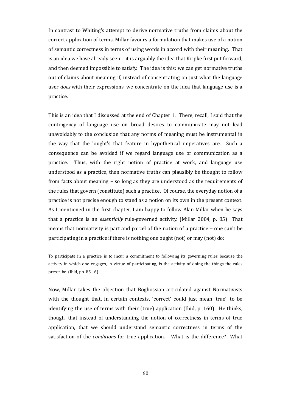In contrast to Whiting's attempt to derive normative truths from claims about the correct application of terms, Millar favours a formulation that makes use of a notion of semantic correctness in terms of using words in accord with their meaning. That is an idea we have already seen – it is arguably the idea that Kripke first put forward, and then deemed impossible to satisfy. The idea is this: we can get normative truths out of claims about meaning if, instead of concentrating on just what the language user *does* with their expressions, we concentrate on the idea that language use is a practice.

This is an idea that I discussed at the end of Chapter 1. There, recall, I said that the contingency of language use on broad desires to communicate may not lead unavoidably to the conclusion that any norms of meaning must be instrumental in the way that the 'ought's that feature in hypothetical imperatives are. Such a consequence can be avoided if we regard language use or communication as a practice. Thus, with the right notion of practice at work, and language use understood as a practice, then normative truths can plausibly be thought to follow from facts about meaning – so long as they are understood as the requirements of the rules that govern (constitute) such a practice. Of course, the everyday notion of a practice is not precise enough to stand as a notion on its own in the present context. As I mentioned in the first chapter, I am happy to follow Alan Millar when he says that a practice is an *essentially* rule-governed activity. (Millar 2004, p. 85) That means that normativity is part and parcel of the notion of a practice – one can't be participating in a practice if there is nothing one ought (not) or may (not) do:

To participate in a practice is to incur a commitment to following its governing rules because the activity in which one engages, in virtue of participating, is the activity of doing the things the rules prescribe. (Ibid, pp. 85 - 6)

Now, Millar takes the objection that Boghossian articulated against Normativists with the thought that, in certain contexts, 'correct' could just mean 'true', to be identifying the use of terms with their (true) application (Ibid, p. 160). He thinks, though, that instead of understanding the notion of correctness in terms of true application, that we should understand semantic correctness in terms of the satisfaction of the *conditions* for true application. What is the difference? What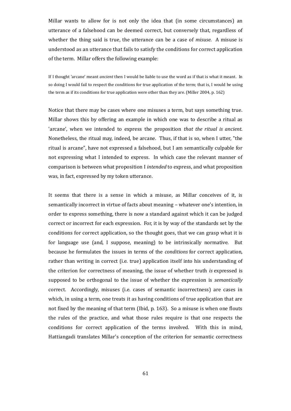Millar wants to allow for is not only the idea that (in some circumstances) an utterance of a falsehood can be deemed correct, but conversely that, regardless of whether the thing said is true, the utterance can be a case of *misuse*. A misuse is understood as an utterance that fails to satisfy the conditions for correct application of the term. Millar offers the following example:

If I thought 'arcane' meant *ancient* then I would be liable to use the word as if that is what it meant. In so doing I would fail to respect the conditions for true application of the term; that is, I would be using the term as if its conditions for true application were other than they are. (Miller 2004, p. 162)

Notice that there may be cases where one misuses a term, but says something true. Millar shows this by offering an example in which one was to describe a ritual as 'arcane', when we intended to express the proposition *that the ritual is ancient*. Nonetheless, the ritual may, indeed, be arcane. Thus, if that is so, when I utter, "the ritual is arcane", have not expressed a falsehood, but I am semantically culpable for not expressing what I intended to express. In which case the relevant manner of comparison is between what proposition I *intended* to express, and what proposition was, in fact, expressed by my token utterance.

It seems that there is a sense in which a misuse, as Millar conceives of it, is semantically incorrect in virtue of facts about meaning – whatever one's intention, in order to express something, there is now a standard against which it can be judged correct or incorrect for each expression. For, it is by way of the standards set by the conditions for correct application, so the thought goes, that we can grasp what it is for language use (and, I suppose, meaning) to be intrinsically normative. But because he formulates the issues in terms of the *conditions* for correct application, rather than writing in correct (i.e. true) application itself into his understanding of the criterion for correctness of meaning, the issue of whether truth *is* expressed is supposed to be orthogonal to the issue of whether the expression is *semantically* correct. Accordingly, misuses (i.e. cases of semantic incorrectness) are cases in which, in using a term, one treats it as having conditions of true application that are not fixed by the meaning of that term (Ibid, p. 163). So a misuse is when one flouts the rules of the practice, and what those rules require is that one respects the conditions for correct application of the terms involved. With this in mind, Hattiangadi translates Millar's conception of the criterion for semantic correctness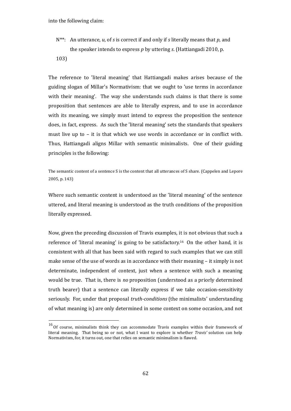- N\*\*: An utterance, *u*, of *s* is correct if and only if *s* literally means that *p*, and the speaker intends to express *p* by uttering *s*. (Hattiangadi 2010, p.
- 103)

The reference to 'literal meaning' that Hattiangadi makes arises because of the guiding slogan of Millar's Normativism: that we ought to 'use terms in accordance with their meaning'. The way she understands such claims is that there is some proposition that sentences are able to literally express, and to use in accordance with its meaning, we simply must intend to express the proposition the sentence does, in fact, express. As such the 'literal meaning' sets the standards that speakers must live up to – it is that which we use words in accordance or in conflict with. Thus, Hattiangadi aligns Millar with semantic minimalists. One of their guiding principles is the following:

The semantic content of a sentence S is the content that all utterances of S share. (Cappelen and Lepore 2005, p. 143)

Where such semantic content is understood as the 'literal meaning' of the sentence uttered, and literal meaning is understood as the truth conditions of the proposition literally expressed.

Now, given the preceding discussion of Travis examples, it is not obvious that such a reference of 'literal meaning' is going to be satisfactory.<sup>[16](#page-61-0)</sup> On the other hand, it is consistent with all that has been said with regard to such examples that we can still make sense of the use of words as in accordance with their meaning – it simply is not determinate, independent of context, just when a sentence with such a meaning would be true. That is, there is *no* proposition (understood as a priorly determined truth bearer) that a sentence can literally express if we take occasion-sensitivity seriously. For, under that proposal *truth-conditions* (the minimalists' understanding of what meaning is) are only determined in some context on some occasion, and not

<span id="page-61-0"></span><sup>&</sup>lt;sup>16</sup> Of course, minimalists think they can accommodate Travis examples within their framework of literal meaning. That being so or not, what I want to explore is whether *Travis'* solution can help Normativism, for, it turns out, one that relies on semantic minimalism is flawed.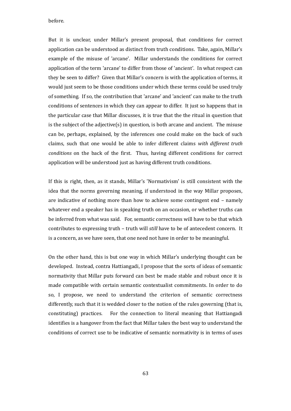before.

But it is unclear, under Millar's present proposal, that conditions for correct application can be understood as distinct from truth conditions. Take, again, Millar's example of the misuse of 'arcane'. Millar understands the conditions for correct application of the term 'arcane' to differ from those of 'ancient'. In what respect can they be seen to differ? Given that Millar's concern is with the application of terms, it would just seem to be those conditions under which these terms could be used truly of something. If so, the contribution that 'arcane' and 'ancient' can make to the truth conditions of sentences in which they can appear to differ. It just so happens that in the particular case that Millar discusses, it is true that the the ritual in question that is the subject of the adjective(s) in question, is both arcane and ancient. The misuse can be, perhaps, explained, by the inferences one could make on the back of such claims, such that one would be able to infer different claims *with different truth conditions* on the back of the first. Thus, having different conditions for correct application will be understood just as having different truth conditions.

If this is right, then, as it stands, Millar's 'Normativism' is still consistent with the idea that the norms governing meaning, if understood in the way Millar proposes, are indicative of nothing more than how to achieve some contingent end – namely whatever end a speaker has in speaking truth on an occasion, or whether truths can be inferred from what was said. For, semantic correctness will have to be that which contributes to expressing truth – truth will *still* have to be of antecedent concern. It is a concern, as we have seen, that one need not have in order to be meaningful.

On the other hand, this is but one way in which Millar's underlying thought can be developed. Instead, contra Hattiangadi, I propose that the sorts of ideas of semantic normativity that Millar puts forward can best be made stable and robust once it is made compatible with certain semantic contextualist commitments. In order to do so, I propose, we need to understand the criterion of semantic correctness differently, such that it is wedded closer to the notion of the rules governing (that is, constituting) practices. For the connection to literal meaning that Hattiangadi identifies is a hangover from the fact that Millar takes the best way to understand the conditions of correct use to be indicative of semantic normativity is in terms of uses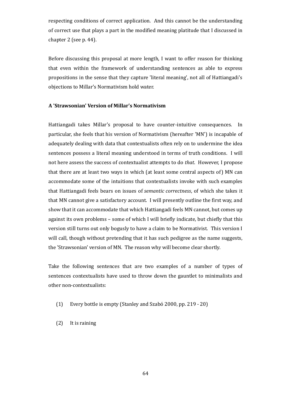respecting conditions of correct application. And this cannot be the understanding of correct use that plays a part in the modified meaning platitude that I discussed in chapter 2 (see p. 44).

Before discussing this proposal at more length, I want to offer reason for thinking that even within the framework of understanding sentences as able to express propositions in the sense that they capture 'literal meaning', not all of Hattiangadi's objections to Millar's Normativism hold water.

## **A 'Strawsonian' Version of Millar's Normativism**

Hattiangadi takes Millar's proposal to have counter-intuitive consequences. In particular, she feels that his version of Normativism (hereafter 'MN') is incapable of adequately dealing with data that contextualists often rely on to undermine the idea sentences possess a literal meaning understood in terms of truth conditions. I will not here assess the success of contextualist attempts to do *that*. However, I propose that there are at least two ways in which (at least some central aspects of) MN can accommodate some of the intuitions that contextualists invoke with such examples that Hattiangadi feels bears on issues of *semantic correctness*, of which she takes it that MN cannot give a satisfactory account. I will presently outline the first way, and show that it can accommodate that which Hattiangadi feels MN cannot, but comes up against its own problems – some of which I will briefly indicate, but chiefly that this version still turns out only bogusly to have a claim to be Normativist. This version I will call, though without pretending that it has such pedigree as the name suggests, the 'Strawsonian' version of MN. The reason why will become clear shortly.

Take the following sentences that are two examples of a number of types of sentences contextualists have used to throw down the gauntlet to minimalists and other non-contextualists:

- (1) Every bottle is empty (Stanley and Szabó 2000, pp. 219 20)
- (2) It is raining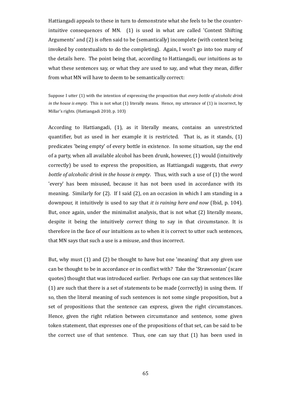Hattiangadi appeals to these in turn to demonstrate what she feels to be the counterintuitive consequences of MN. (1) is used in what are called 'Context Shifting Arguments' and (2) is often said to be (semantically) incomplete (with context being invoked by contextualists to do the completing). Again, I won't go into too many of the details here. The point being that, according to Hattiangadi, our intuitions as to what these sentences say, or what they are used to say, and what they mean, differ from what MN will have to deem to be semantically correct:

Suppose I utter (1) with the intention of expressing the proposition that *every bottle of alcoholic drink in the house is empty*. This is not what (1) literally means. Hence, my utterance of (1) is incorrect, by Millar's rights. (Hattiangadi 2010, p. 103)

According to Hattiangadi, (1), as it literally means, contains an unrestricted quantifier, but as used in her example it is restricted. That is, as it stands, (1) predicates 'being empty' of every bottle in existence. In some situation, say the end of a party, when all available alcohol has been drunk, however, (1) would (intuitively correctly) be used to express the proposition, as Hattiangadi suggests, that *every bottle of alcoholic drink in the house is empty*. Thus, with such a use of (1) the word 'every' has been misused, because it has not been used in accordance with its meaning. Similarly for (2). If I said (2), on an occasion in which I am standing in a downpour, it intuitively is used to say that *it is raining here and now* (Ibid, p. 104). But, once again, under the minimalist analysis, that is not what (2) literally means, despite it being the intuitively *correct* thing to say in that circumstance. It is therefore in the face of our intuitions as to when it is correct to utter such sentences, that MN says that such a use is a misuse, and thus incorrect.

But, why must (1) and (2) be thought to have but one 'meaning' that any given use can be thought to be in accordance or in conflict with? Take the 'Strawsonian' (scare quotes) thought that was introduced earlier. Perhaps one can say that sentences like (1) are such that there is a set of statements to be made (correctly) in using them. If so, then the literal meaning of such sentences is not some single proposition, but a set of propositions that the sentence can express, given the right circumstances. Hence, given the right relation between circumstance and sentence, some given token statement, that expresses one of the propositions of that set, can be said to be the correct use of that sentence. Thus, one can say that (1) has been used in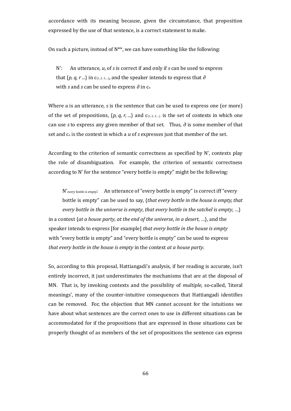accordance with its meaning because, given the circumstance, that proposition expressed by the use of that sentence, is a correct statement to make.

On such a picture, instead of N\*\*, we can have something like the following:

N': An utterance, *u*, of *s* is correct if and only if *s* can be used to express that  $\{p, q, r \ldots\}$  in  $c_{\{1, 2, 3, \ldots\}}$ , and the speaker intends to express that  $\partial$ with *s* and *s* can be used to express ∂ in c<sub>n</sub>

Where *u* is an utterance, *s* is the sentence that can be used to express one (or more) of the set of propositions,  $\{p, q, r, ...\}$  and  $c_{\{1, 2, 3, ...\}}$  is the set of contexts in which one can use *s* to express any given member of that set. Thus, *∂* is some member of that set and c<sup>n</sup> is the context in which a *u* of *s* expresses just that member of the set.

According to the criterion of semantic correctness as specified by N', contexts play the role of disambiguation. For example, the criterion of semantic correctness according to N' for the sentence "every bottle is empty" might be the following:

N'*every bottle is empty*: An utterance of "every bottle is empty" is correct iff "every bottle is empty" can be used to say, {*that every bottle in the house is empty, that every bottle in the universe is empty*, *that every bottle in the satchel is empty*, …} in a context {*at a house party*, *at the end of the universe*, *in a desert*, …}, and the speaker intends to express [for example] *that every bottle in the house is empty* with "every bottle is empty" and "every bottle is empty" can be used to express *that every bottle in the house is empty* in the context *at a house party*.

So, according to this proposal, Hattiangadi's analysis, if her reading is accurate, isn't entirely incorrect, it just underestimates the mechanisms that are at the disposal of MN. That is, by invoking contexts and the possibility of *multiple*, so-called, 'literal meanings', many of the counter-intuitive consequences that Hattiangadi identifies can be removed. For, the objection that MN cannot account for the intuitions we have about what sentences are the correct ones to use in different situations can be accommodated for if the propositions that are expressed in those situations can be properly thought of as members of the set of propositions the sentence can express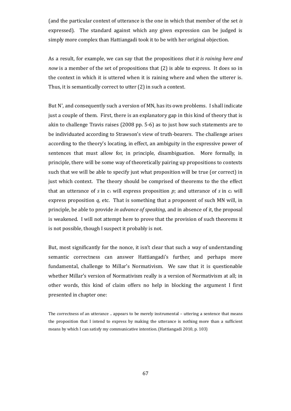(and the particular context of utterance is the one in which that member of the set *is* expressed). The standard against which any given expression can be judged is simply more complex than Hattiangadi took it to be with her original objection.

As a result, for example, we can say that the propositions *that it is raining here and now* is a member of the set of propositions that (2) is able to express. It does so in the context in which it is uttered when it is raining where and when the utterer is. Thus, it is semantically correct to utter (2) in such a context.

But N', and consequently such a version of MN, has its own problems. I shall indicate just a couple of them. First, there is an explanatory gap in this kind of theory that is akin to challenge Travis raises (2008 pp. 5-6) as to just how such statements are to be individuated according to Strawson's view of truth-bearers. The challenge arises according to the theory's locating, in effect, an ambiguity in the expressive power of sentences that must allow for, in principle, disambiguation. More formally, in principle, there will be some way of theoretically pairing up propositions to contexts such that we will be able to specify just what proposition will be true (or correct) in just which context. The theory should be comprised of theorems to the the effect that an utterance of  $s$  in  $c_1$  will express proposition  $p$ ; and utterance of  $s$  in  $c_2$  will express proposition *q*, etc. That is something that a proponent of such MN will, in principle, be able to provide *in advance of speaking*, and in absence of it, the proposal is weakened. I will not attempt here to prove that the provision of such theorems it is not possible, though I suspect it probably is not.

But, most significantly for the nonce, it isn't clear that such a way of understanding semantic correctness can answer Hattiangadi's further, and perhaps more fundamental, challenge to Millar's Normativism. We saw that it is questionable whether Millar's version of Normativism really is a version of Normativism at all; in other words, this kind of claim offers no help in blocking the argument I first presented in chapter one:

The correctness of an utterance .. appears to be merely instrumental – uttering a sentence that means the proposition that I intend to express by making the utterance is nothing more than a sufficient means by which I can satisfy my communicative intention. (Hattiangadi 2010, p. 103)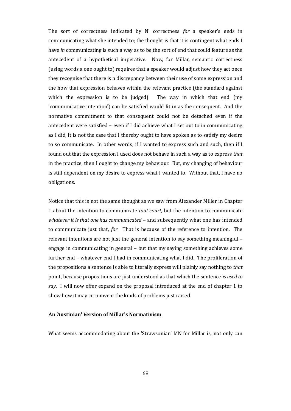The sort of correctness indicated by N' correctness *for* a speaker's ends in communicating what she intended to; the thought is that it is contingent what ends I have *in* communicating is such a way as to be the sort of end that could feature as the antecedent of a hypothetical imperative. Now, for Millar, semantic correctness (using words a one ought to) requires that a speaker would adjust how they act once they recognise that there is a discrepancy between their use of some expression and the how that expression behaves within the relevant practice (the standard against which the expression is to be judged). The way in which that end (my 'communicative intention') can be satisfied would fit in as the consequent. And the normative commitment to that consequent could not be detached even if the antecedent were satisfied – even if I did achieve what I set out to in communicating as I did, it is not the case that I thereby ought to have spoken as to satisfy my desire to so communicate. In other words, if I wanted to express such and such, then if I found out that the expression I used does not behave in such a way as to express *that* in the practice, then I ought to change my behaviour. But, my changing of behaviour is still dependent on my desire to express what I wanted to. Without that, I have no obligations.

Notice that this is not the same thought as we saw from Alexander Miller in Chapter 1 about the intention to communicate *tout court*, but the intention to communicate *whatever it is that one has communicated* – and subsequently what one has intended to communicate just that, *for*. That is because of the reference to intention. The relevant intentions are not just the general intention to say something meaningful – engage in communicating in general – but that my saying something achieves some further end – whatever end I had in communicating what I did. The proliferation of the propositions a sentence is able to literally express will plainly say nothing to *that* point, because propositions are just understood as that which the sentence *is used to say*. I will now offer expand on the proposal introduced at the end of chapter 1 to show how it may circumvent the kinds of problems just raised.

# **An 'Austinian' Version of Millar's Normativism**

What seems accommodating about the 'Strawsonian' MN for Millar is, not only can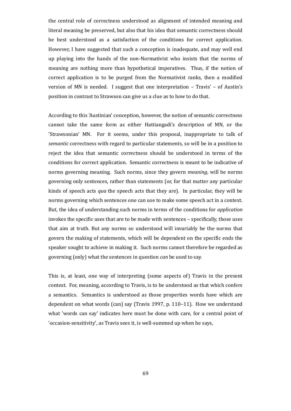the central role of correctness understood as alignment of intended meaning and literal meaning be preserved, but also that his idea that semantic correctness should be best understood as a satisfaction of the conditions for correct application. However, I have suggested that such a conception is inadequate, and may well end up playing into the hands of the non-Normativist who insists that the norms of meaning are nothing more than hypothetical imperatives. Thus, if the notion of correct application is to be purged from the Normativist ranks, then a modified version of MN is needed. I suggest that one interpretation – Travis' – of Austin's position in contrast to Strawson can give us a clue as to how to do that.

According to this 'Austinian' conception, however, the notion of semantic correctness cannot take the same form as either Hattiangadi's description of MN, or the 'Strawsonian' MN. For it seems, under this proposal, inappropriate to talk of *semantic* correctness with regard to particular statements, so will be in a position to reject the idea that semantic correctness should be understood in terms of the conditions for correct application. Semantic correctness is meant to be indicative of norms governing meaning. Such norms, since they govern *meaning*, will be norms governing only sentences, rather than statements (or, for that matter any particular kinds of speech acts *qua* the speech acts that they are). In particular, they will be norms governing which sentences one can use to make some speech act in a context. But, the idea of understanding such norms in terms of the conditions for *application* invokes the specific uses that are to be made with sentences – specifically, those uses that aim at truth. But any norms so understood will invariably be the norms that govern the making of statements, which will be dependent on the specific ends the speaker sought to achieve in making it. Such norms cannot therefore be regarded as governing (only) what the sentences in question *can* be used to say.

This is, at least, one way of interpreting (some aspects of) Travis in the present context. For, meaning, according to Travis, is to be understood as that which confers a semantics. Semantics is understood as those properties words have which are dependent on what words (can) say (Travis 1997, p. 110–11). How we understand what 'words can say' indicates here must be done with care, for a central point of 'occasion-sensitivity', as Travis sees it, is well-summed up when he says,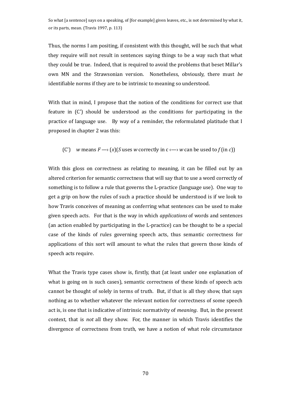So what [a sentence] says on a speaking, of [for example] given leaves, etc., is not determined by what it, or its parts, mean. (Travis 1997, p. 113)

Thus, the norms I am positing, if consistent with this thought, will be such that what they require will not result in sentences saying things to be a way such that what they could be true. Indeed, that is required to avoid the problems that beset Millar's own MN and the Strawsonian version. Nonetheless, obviously, there must *be* identifiable norms if they are to be intrinsic to meaning so understood.

With that in mind, I propose that the notion of the conditions for correct use that feature in (C') should be understood as the conditions for participating in the practice of language use. By way of a reminder, the reformulated platitude that I proposed in chapter 2 was this:

(C') *w* means  $F \rightarrow (x)(S$  uses *w* correctly in  $c \rightarrow w$  can be used to  $f$  (in *c*))

With this gloss on correctness as relating to meaning, it can be filled out by an altered criterion for semantic correctness that will say that to use a word correctly of something is to follow a rule that governs the L-practice (language use). One way to get a grip on how the rules of such a practice should be understood is if we look to how Travis conceives of meaning as conferring what sentences can be used to make given speech acts. For that is the way in which *applications* of words and sentences (an action enabled by participating in the L-practice) can be thought to be a special case of the kinds of rules governing speech acts, thus semantic correctness for applications of this sort will amount to what the rules that govern those kinds of speech acts require.

What the Travis type cases show is, firstly, that (at least under one explanation of what is going on is such cases), semantic correctness of these kinds of speech acts cannot be thought of solely in terms of truth. But, if that is all they show, that says nothing as to whether whatever the relevant notion for correctness of some speech act is, is one that is indicative of intrinsic normativity of *meaning*. But, in the present context, that is *not* all they show. For, the manner in which Travis identifies the divergence of correctness from truth, we have a notion of what role circumstance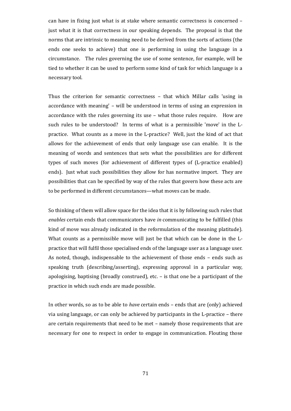can have in fixing just what is at stake where semantic correctness is concerned – just what it is that correctness in our speaking depends. The proposal is that the norms that are intrinsic to meaning need to be derived from the sorts of actions (the ends one seeks to achieve) that one is performing in using the language in a circumstance. The rules governing the use of some sentence, for example, will be tied to whether it can be used to perform some kind of task for which language is a necessary tool.

Thus the criterion for semantic correctness – that which Millar calls 'using in accordance with meaning' – will be understood in terms of using an expression in accordance with the rules governing its use – what those rules require. How are such rules to be understood? In terms of what is a permissible 'move' in the Lpractice. What counts as a move in the L-practice? Well, just the kind of act that allows for the achievement of ends that only language use can enable. It is the meaning of words and sentences that sets what the possibilities are for different types of such moves (for achievement of different types of (L-practice enabled) ends). Just what such possibilities they allow for has normative import. They are possibilities that can be specified by way of the rules that govern how these acts are to be performed in different circumstances—what moves can be made.

So thinking of them will allow space for the idea that it is by following such rules that *enables* certain ends that communicators have *in* communicating to be fulfilled (this kind of move was already indicated in the reformulation of the meaning platitude). What counts as a permissible move will just be that which can be done in the Lpractice that will fulfil those specialised ends of the language user as a language user. As noted, though, indispensable to the achievement of those ends – ends such as speaking truth (describing/asserting), expressing approval in a particular way, apologising, baptising (broadly construed), etc. – is that one be a participant of the practice in which such ends are made possible.

In other words, so as to be able to *have* certain ends – ends that are (only) achieved via using language, or can only be achieved by participants in the L-practice – there are certain requirements that need to be met – namely those requirements that are necessary for one to respect in order to engage in communication. Flouting those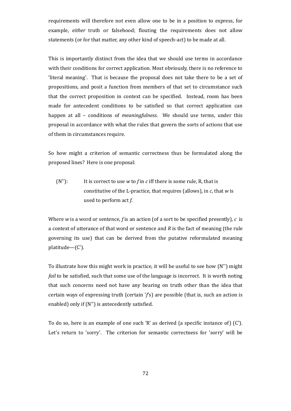requirements will therefore not even allow one to be in a position to express, for example, *either* truth or falsehood; flouting the requirements does not allow statements (or for that matter, any other kind of speech-act) to be made at all.

This is importantly distinct from the idea that we should use terms in accordance with their conditions for correct application. Most obviously, there is no reference to 'literal meaning'. That is because the proposal does not take there to be a set of propositions, and posit a function from members of that set to circumstance such that the correct proposition in context can be specified. Instead, room has been made for antecedent conditions to be satisfied so that correct application can happen at all – conditions of *meaningfulness*. We should use terms, under this proposal in accordance with what the rules that govern the sorts of actions that use of them in circumstances require.

So how might a criterion of semantic correctness thus be formulated along the proposed lines? Here is one proposal:

(N''): It is correct to use *w* to *f* in *c* iff there is some rule, R, that is constitutive of the L-practice, that requires (allows), in *c*, that *w* is used to perform act *f*.

Where *w* is a word or sentence, *f* is an action (of a sort to be specified presently), *c* is a context of utterance of that word or sentence and *R* is the fact of meaning (the rule governing its use) that can be derived from the putative reformulated meaning platitude—(C').

To illustrate how this might work in practice, it will be useful to see how (N'') might *fail* to be satisfied, such that some use of the language is incorrect. It is worth noting that such concerns need not have any bearing on truth other than the idea that certain ways of expressing truth (certain '*f*'s) are possible (that is, such an action is enabled) only if (N'') is antecedently satisfied.

To do so, here is an example of one such 'R' as derived (a specific instance of) (C'). Let's return to 'sorry'. The criterion for semantic correctness for 'sorry' will be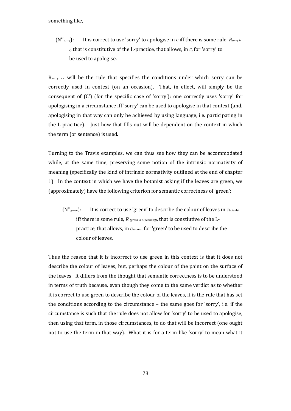something like,

(N''sorry): It is correct to use 'sorry' to apologise in *c* iff there is some rule, *Rsorry in <sup>c</sup>*, that is constitutive of the L-practice, that allows, in *c*, for 'sorry' to be used to apologise.

Rsorry in c will be the rule that specifies the conditions under which sorry can be correctly used in context (on an occasion). That, in effect, will simply be the consequent of (C') (for the specific case of 'sorry'): one correctly uses 'sorry' for apologising in a circumstance iff 'sorry' can be used to apologise in that context (and, apologising in that way can only be achieved by using language, i.e. participating in the L-pracitice). Just how that fills out will be dependent on the context in which the term (or sentence) is used.

Turning to the Travis examples, we can thus see how they can be accommodated while, at the same time, preserving some notion of the intrinsic normativity of meaning (specifically the kind of intrinsic normativity outlined at the end of chapter 1). In the context in which we have the botanist asking if the leaves are green, we (approximately) have the following criterion for semantic correctness of 'green':

(N"<sub>green</sub>): It is correct to use 'green' to describe the colour of leaves in Cbotanist iff there is some rule, *R (green in c (botanist))*, that is constiutive of the Lpractice, that allows, in *c*botanist for 'green' to be used to describe the colour of leaves.

Thus the reason that it is incorrect to use green in this context is that it does not describe the colour of leaves, but, perhaps the colour of the paint on the surface of the leaves. It differs from the thought that semantic correctness is to be understood in terms of truth because, even though they come to the same verdict as to whether it is correct to use green to describe the colour of the leaves, it is the rule that has set the conditions according to the circumstance – the same goes for 'sorry', i.e. if the circumstance is such that the rule does not allow for 'sorry' to be used to apologise, then using that term, in those circumstances, to do that will be incorrect (one ought not to use the term in that way). What it is for a term like 'sorry' to mean what it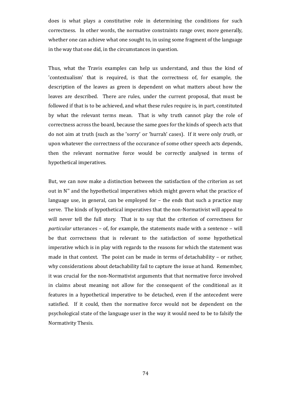does is what plays a constitutive role in determining the conditions for such correctness. In other words, the normative constraints range over, more generally, whether one can achieve what one sought to, in using some fragment of the language in the way that one did, in the circumstances in question.

Thus, what the Travis examples can help us understand, and thus the kind of 'contextualism' that is required, is that the correctness of, for example, the description of the leaves as green is dependent on what matters about how the leaves are described. There are rules, under the current proposal, that must be followed if that is to be achieved, and what these rules require is, in part, constituted by what the relevant terms mean. That is why truth cannot play the role of correctness across the board, because the same goes for the kinds of speech acts that do not aim at truth (such as the 'sorry' or 'hurrah' cases). If it were only *truth*, or upon whatever the correctness of the occurance of some other speech acts depends, then the relevant normative force would be correctly analysed in terms of hypothetical imperatives.

But, we can now make a distinction between the satisfaction of the criterion as set out in N'' and the hypothetical imperatives which might govern what the practice of language use, in general, can be employed for – the ends that such a practice may serve. The kinds of hypothetical imperatives that the non-Normativist will appeal to will never tell the full story. That is to say that the criterion of correctness for *particular* utterances – of, for example, the statements made with a sentence – will be that correctness that is relevant to the satisfaction of some hypothetical imperative which is in play with regards to the reasons for which the statement was made in that context. The point can be made in terms of detachability – or rather, why considerations about detachability fail to capture the issue at hand. Remember, it was crucial for the non-Normativist arguments that that normative force involved in claims about meaning not allow for the consequent of the conditional as it features in a hypothetical imperative to be detached, even if the antecedent were satisfied. If it could, then the normative force would not be dependent on the psychological state of the language user in the way it would need to be to falsify the Normativity Thesis.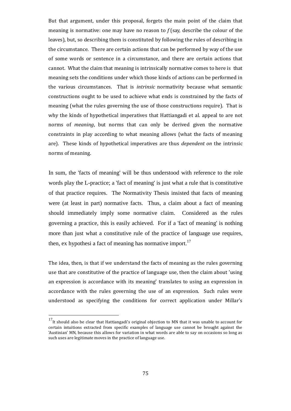But that argument, under this proposal, forgets the main point of the claim that meaning is normative: one may have no reason to *f* (say, describe the colour of the leaves), but, so describing them is constituted by following the rules of describing in the circumstance. There are certain actions that can be performed by way of the use of some words or sentence in a circumstance, and there are certain actions that cannot. What the claim that meaning is intrinsically normative comes to here is that meaning sets the conditions under which those kinds of actions can be performed in the various circumstances. That is *intrinsic* normativity because what semantic constructions ought to be used to achieve what ends is constrained by the facts of meaning (what the rules governing the use of those constructions require). That is why the kinds of hypothetical imperatives that Hattiangadi et al. appeal to are not norms of *meaning*, but norms that can only be derived given the normative constraints in play according to what meaning allows (what the facts of meaning are). These kinds of hypothetical imperatives are thus *dependent on* the intrinsic norms of meaning.

In sum, the 'facts of meaning' will be thus understood with reference to the role words play the L-practice; a 'fact of meaning' is just what a rule that is constitutive of that practice requires. The Normativity Thesis insisted that facts of meaning were (at least in part) normative facts. Thus, a claim about a fact of meaning should immediately imply some normative claim. Considered as the rules governing a practice, this is easily achieved. For if a 'fact of meaning' is nothing more than just what a constitutive rule of the practice of language use requires, then, ex hypothesi a fact of meaning has normative import.<sup>[17](#page-74-0)</sup>

The idea, then, is that if we understand the facts of meaning as the rules governing use that are constitutive of the practice of language use, then the claim about 'using an expression is accordance with its meaning' translates to using an expression in accordance with the rules governing the use of an expression. Such rules were understood as specifying the conditions for correct application under Millar's

<span id="page-74-0"></span> $17$ It should also be clear that Hattiangadi's original objection to MN that it was unable to account for certain intuitions extracted from specific examples of language use cannot be brought against the 'Austinian' MN, because this allows for variation in what words are able to say on occasions so long as such uses are legitimate moves in the practice of language use.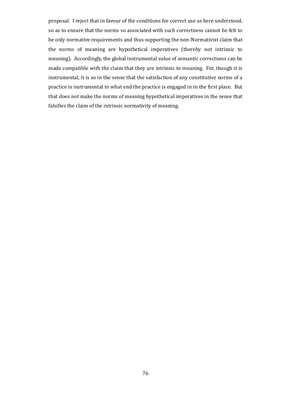proposal. I reject that in favour of the conditions for correct use as here understood, so as to ensure that the norms so associated with such correctness cannot be felt to be only normative requirements and thus supporting the non-Normativist claim that the norms of meaning are hypothetical imperatives (thereby not intrinsic to meaning). Accordingly, the global instrumental value of semantic correctness can be made compatible with the claim that they are intrinsic to meaning. For, though it is instrumental, it is so in the sense that the satisfaction of any constitutive norms of a practice is instrumental to what end the practice is engaged in in the first place. But that does not make the norms of meaning hypothetical imperatives in the sense that falsifies the claim of the intrinsic normativity of meaning.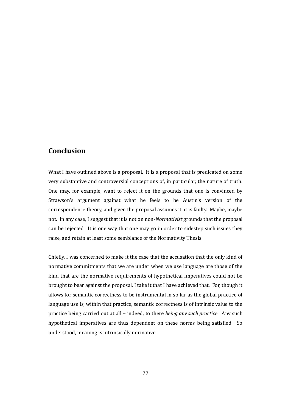## **Conclusion**

What I have outlined above is a proposal. It is a proposal that is predicated on some very substantive and controversial conceptions of, in particular, the nature of truth. One may, for example, want to reject it on the grounds that one is convinced by Strawson's argument against what he feels to be Austin's version of the correspondence theory, and given the proposal assumes it, it is faulty. Maybe, maybe not. In any case, I suggest that it is not on non-*Normativist* grounds that the proposal can be rejected. It is one way that one may go in order to sidestep such issues they raise, and retain at least some semblance of the Normativity Thesis.

Chiefly, I was concerned to make it the case that the accusation that the only kind of normative commitments that we are under when we use language are those of the kind that are the normative requirements of hypothetical imperatives could not be brought to bear against the proposal. I take it that I have achieved that. For, though it allows for semantic correctness to be instrumental in so far as the global practice of language use is, within that practice, semantic correctness is of intrinsic value to the practice being carried out at all – indeed, to there *being any such practice*. Any such hypothetical imperatives are thus dependent on these norms being satisfied. So understood, meaning is intrinsically normative.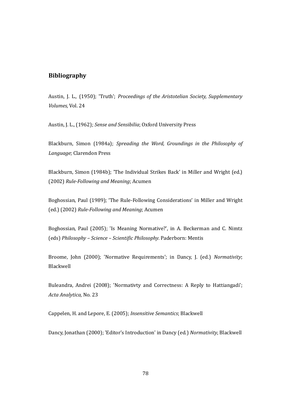## **Bibliography**

Austin, J. L., (1950); 'Truth'; *Proceedings of the Aristotelian Society, Supplementary Volumes,* Vol. 24

Austin, J. L., (1962); *Sense and Sensibilia*; Oxford University Press

Blackburn, Simon (1984a); *Spreading the Word, Groundings in the Philosophy of Language*; Clarendon Press

Blackburn, Simon (1984b); 'The Individual Strikes Back' in Miller and Wright (ed.) (2002) *Rule-Following and Meaning*; Acumen

Boghossian, Paul (1989); 'The Rule-Following Considerations' in Miller and Wright (ed.) (2002) *Rule-Following and Meaning*; Acumen

Boghossian, Paul (2005); 'Is Meaning Normative?', in A. Beckerman and C. Nimtz (eds) *Philosophy – Science – Scientific Philosophy*. Paderborn: Mentis

Broome, John (2000); 'Normative Requirements'; in Dancy, J. (ed.) *Normativity*; Blackwell

Buleandra, Andrei (2008); 'Normativty and Correctness: A Reply to Hattiangadi'; *Acta Analytica,* No. 23

Cappelen, H. and Lepore, E. (2005); *Insensitive Semantics*; Blackwell

Dancy, Jonathan (2000); 'Editor's Introduction' in Dancy (ed.) *Normativity*, Blackwell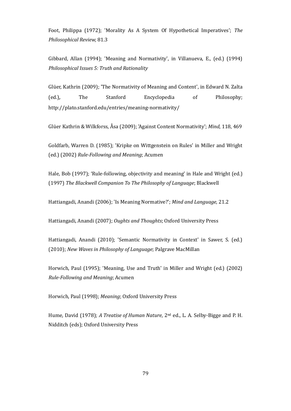Foot, Philippa (1972); 'Morality As A System Of Hypothetical Imperatives'; *The Philosophical Review,* 81.3

Gibbard, Allan (1994); 'Meaning and Normativity', in Villanueva, E., (ed.) (1994) *Philosophical Issues 5: Truth and Rationality*

Glüer, Kathrin (2009); 'The Normativity of Meaning and Content', in Edward N. Zalta (ed.)*,* The Stanford Encyclopedia of Philosophy; http://plato.stanford.edu/entries/meaning-normativity/

Glüer Kathrin & Wilkforss, Åsa (2009); 'Against Content Normativity'; *Mind*, 118, 469

Goldfarb, Warren D. (1985); 'Kripke on Wittgenstein on Rules' in Miller and Wright (ed.) (2002) *Rule-Following and Meaning*; Acumen

Hale, Bob (1997); 'Rule-following, objectivity and meaning' in Hale and Wright (ed.) (1997) *The Blackwell Companion To The Philosophy of Language*; Blackwell

Hattiangadi, Anandi (2006); 'Is Meaning Normative?'; *Mind and Language,* 21.2

Hattiangadi, Anandi (2007); *Oughts and Thoughts*; Oxford University Press

Hattiangadi, Anandi (2010); 'Semantic Normativity in Context' in Sawer, S. (ed.) (2010); *New Waves in Philosophy of Language*; Palgrave MacMillan

Horwich, Paul (1995); 'Meaning, Use and Truth' in Miller and Wright (ed.) (2002) *Rule-Following and Meaning*; Acumen

Horwich, Paul (1998); *Meaning*; Oxford University Press

Hume, David (1978); *A Treatise of Human Nature*, 2nd ed., L. A. Selby-Bigge and P. H. Nidditch (eds); Oxford University Press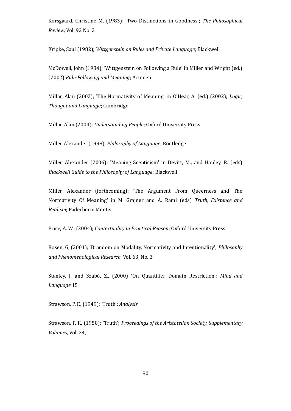Korsgaard, Christine M. (1983); 'Two Distinctions in Goodness'; *The Philosophical Review,* Vol. 92 No. 2

Kripke, Saul (1982); *Wittgenstein on Rules and Private Language*; Blackwell

McDowell, John (1984); 'Wittgenstein on Following a Rule' in Miller and Wright (ed.) (2002) *Rule-Following and Meaning*; Acumen

Millar, Alan (2002); 'The Normativity of Meaning' in O'Hear, A. (ed.) (2002); *Logic, Thought and Language*; Cambridge

Millar, Alan (2004); *Understanding People*; Oxford University Press

Miller, Alexander (1998); *Philosophy of Language*; Routledge

Miller, Alexander (2006); 'Meaning Scepticism' in Devitt, M., and Hanley, R. (eds) *Blackwell Guide to the Philosophy of Language*; Blackwell

Miller, Alexander (forthcoming); 'The Argument From Queerness and The Normativity Of Meaning' in M. Grajner and A. Rami (eds) *Truth, Existence and Realism*; Paderborn: Mentis

Price, A. W., (2004); *Contextuality in Practical Reason*; Oxford University Press

Rosen, G, (2001); 'Brandom on Modality, Normativity and Intentionality'; *Philosophy and Phenomenological Research*, Vol. 63, No. 3

Stanley, J. and Szabó, Z., (2000) 'On Quantifier Domain Restriction'; *Mind and Language* 15

Strawson, P. F., (1949); 'Truth'; *Analysis*

Strawson, P. F., (1950); 'Truth'; *Proceedings of the Aristotelian Society, Supplementary Volumes,* Vol. 24,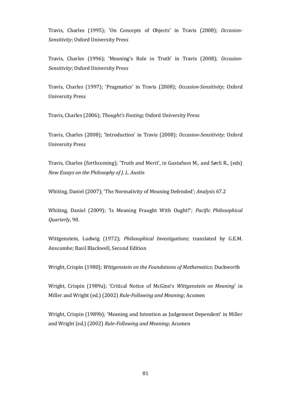Travis, Charles (1995); 'On Concepts of Objects' in Travis (2008); *Occasion-Sensitivity*; Oxford University Press

Travis, Charles (1996); 'Meaning's Role in Truth' in Travis (2008); *Occasion-Sensitivity*; Oxford University Press

Travis, Charles (1997); 'Pragmatics' in Travis (2008); *Occasion-Sensitivity*; Oxford University Press

Travis, Charles (2006); *Thought's Footing*; Oxford University Press

Travis, Charles (2008); 'Introduction' in Travis (2008); *Occasion-Sensitivity*; Oxford University Press

Travis, Charles (forthcoming); 'Truth and Merit', in Gustafson M., and Sørli R., (eds) *New Essays on the Philosophy of J. L. Austin*

Whiting, Daniel (2007); 'The Normativity of Meaning Defended'; *Analysis* 67.2

Whiting, Daniel (2009); 'Is Meaning Fraught With Ought?'; *Pacific Philosophical Quarterly*, 90.

Wittgenstein, Ludwig (1972); *Philosophical Investigations*; translated by G.E.M. Anscombe; Basil Blackwell, Second Edition

Wright, Crispin (1980); *Wittgenstein on the Foundations of Mathematics*; Duckworth

Wright, Crispin (1989a); 'Critical Notice of McGinn's *Wittgenstein on Meaning*' in Miller and Wright (ed.) (2002) *Rule-Following and Meaning*; Acumen

Wright, Crispin (1989b); 'Meaning and Intention as Judgement Dependent' in Miller and Wright (ed.) (2002) *Rule-Following and Meaning*; Acumen